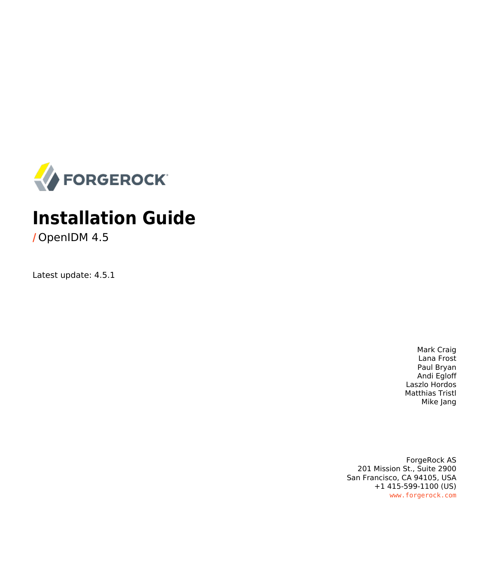

# **Installation Guide**

**/** OpenIDM 4.5

Latest update: 4.5.1

Mark Craig Lana Frost Paul Bryan Andi Egloff Laszlo Hordos Matthias Tristl Mike Jang

ForgeRock AS 201 Mission St., Suite 2900 San Francisco, CA 94105, USA +1 415-599-1100 (US) www.forgerock.com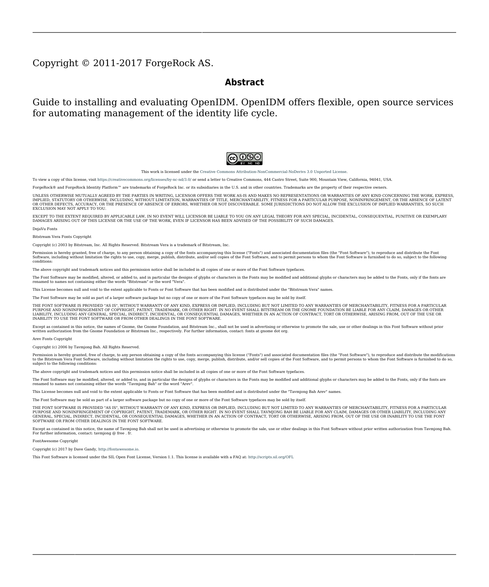#### Copyright © 2011-2017 ForgeRock AS.

#### **Abstract**

Guide to installing and evaluating OpenIDM. OpenIDM offers flexible, open source services for automating management of the identity life cycle.



This work is licensed under the Creative Commons Attribution-NonCommercial-NoDerivs 3.0 Unported Lice

To view a copy of this license, visit <https://creativecommons.org/licenses/by-nc-nd/3.0/> or send a letter to Creative Commons, 444 Castro Street, Suite 900, Mountain View, California, 94041, USA.

ForgeRock® and ForgeRock Identity Platform™ are trademarks of ForgeRock Inc. or its subsidiaries in the U.S. and in other countries. Trademarks are the property of their re

UNLESS OTHERWISE MUTUALIX AGREED BY THE PARTIES IN WRITNG, LICENSOR OFFERS THE WORK ASLES OF ARRESENTATIONS OR WARRANTIES OF ANY KNR ACTOR OF AN EXPRESS OT ALLY AN ALLY AND CONCERNING THE WORK, EXPRESS, THE ABSENCE OF LATE OR OTHER DEFECTS, ACCURACY, OR THE PRESENCE OF ABSENCE OF ERRORS, WHETHER OR NOT DISCOVERABLE. SOME JURISDICTIONS DO NOT ALLOW THE EXCLUSION OF IMPLIED WARRANTIES, SO SUCH EXCLUSION MAY NOT APPLY TO YOU.

EXCEPT TO THE EXTENT REQUIRED BY APPLICABLE LAW, IN NO EVENT WILL LICENSOR BE LIABLE TO YOU ON ANY LEGAL THEORY FOR ANY ESCLIL, INCIDENTAL, CONSEQUENTIAL, PUNITIVE OR EXEMPLARY<br>DAMAGES ARISING OUT OF THIS LICENSE OR THE UG

DejaVu Fonts

Bitstream Vera Fonts Copyright

Copyright (c) 2003 by Bitstream, Inc. All Rights Reserved. Bitstream Vera is a trademark of Bitstream, Inc.

Permission is hereby granted, free of charge, to any person obtaining a copy of the fonts accompanying this license ("Fonts") and associated documentation files ("hent" Font Software, including without immushed to do so, s condition

re copyright and trademark notices and this permission notice shall be included in all copies of one or more of the Font Software typefaces.

The Font Software may be modified, altered, or added to, and in particular the designs of glyphs or characters in the Fonts may be modified and additional glyphs or characters may be added to the Fonts, only if the fonts a renamed to names not containing either the words "Bitstream" or the word "Vera".

This License becomes null and void to the extent applicable to Fonts or Font Software that has been modified and is distributed under the "Bitstream Vera" names.

The Font Software may be sold as part of a larger software package but no copy of one or more of the Font Software typefaces may be sold by itself.

THE FONT SOFTWARE IS PROVIDED "AS IS", WTHOUT WARRANTY OF ANY KIND, EXPRESS OR IMPLIED, MALRO THO AN MONTARRANTIES OF MERCHANTABILITY, FITNESS FOR A PARTO THE SORE AND THE SORE ANY CLAIM, DAMAGES OR OTHER<br>PURPOSE AND NONIN LIABILITY, INCLUDING ANY GENERAL, SPECIAL, INDIRECT, INCLOSTED AND ANGERET AND ARRELLY MAN ACTION OF CONTRACT, TORT OR OTHERWISE, ARISING FROM, OUT OF THE USE OR<br>INABILITY TO USE THE FONT SOFTWARE OR FROM OTHER DEALINGS IN

Except as contained in this notice, the names of Gnome, the Gnome Foundation, and Bitstream Inc., shall not be used in advertising or otherwise to promote the sale, use or other dealings in this Font Software without prior

Arev Fonts Copyright

Copyright (c) 2006 by Tavmjong Bah. All Rights Reserved.

Permission is hereby granted, free of charge, to any person obtaining a copy of the fonts accompanying this license ("Fonts") and associated documentation files (the "Font Software"), to reproduce and distribute the modifi to the Bitstream Vera Font Software, including without limitation the rights to use, copy, merge, publish, distribute, and/or sell copies of the Font Software, and to permit persons to whom the Font Software is furnished t

we copyright and trademark notices and this permission notice shall be included in all copies of one or more of the Font Software typefaces.

The Font Software may be modified, altered, or added to, and in particular the designs of glyphs or characters in the Fonts may be modified and additional glyphs or characters may be added to the Fonts, only if the fonts a

This License becomes null and void to the extent applicable to Fonts or Font Software that has been modified and is distributed under the "Tavmjong Bah Arev" names.

The Font Software may be sold as part of a larger software package but no copy of one or more of the Font Software typefaces may be sold by itself.

THE FONT SOFTWARE IS PROVIDED "AS IS", WITHOUT WARRANTY OF ANY KIND, EXPRESS OR IMPLIED, INCLUDING BUT NOT LIMITED TO ANY WARRANTIES OF MERCHANTABILITY, FITNESS FOR A PARTICULAR PURPOSE AND NONINFRINGEMENT OF COPYRIGHT, PATENT, TRADEMARK, OR OTHER RIGHT. IN NO EVENT SHALL TAVMJONG BAH BE LIABLE FOR ANY CLAIM, DAMAGES OR OTHER LIABILITY, INCLUDING ANY<br>GENERAL, SPECIAL, INDIRECT, INCIDENTAL, OR CONS

Except as contained in this notice, the name of Tavmjong Bah shall not be used in advertising or otherwise to promote the sale, use or other dealings in this Font Software without prior written authorization from Tavmjong For further information, contact: tavmjong @ free . fr.

FontAwesome Copyright

Copyright (c) 2017 by Dave Gandy, [http://fontawesome.io.](http://fontawesome.io)

This Font Software is licensed under the SIL Open Font License, Version 1.1. This license is available with a FAQ at:<http://scripts.sil.org/OFL>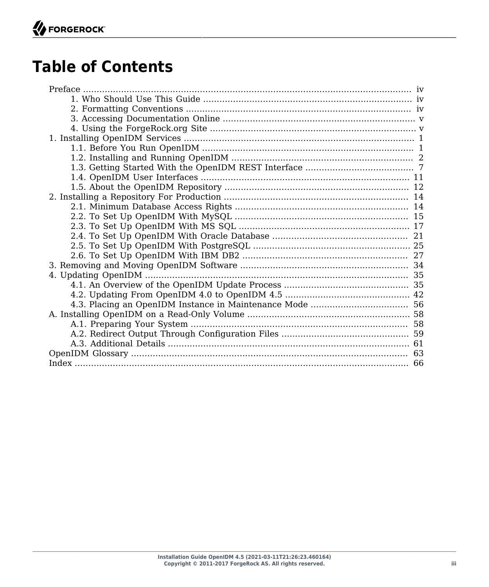# **Table of Contents**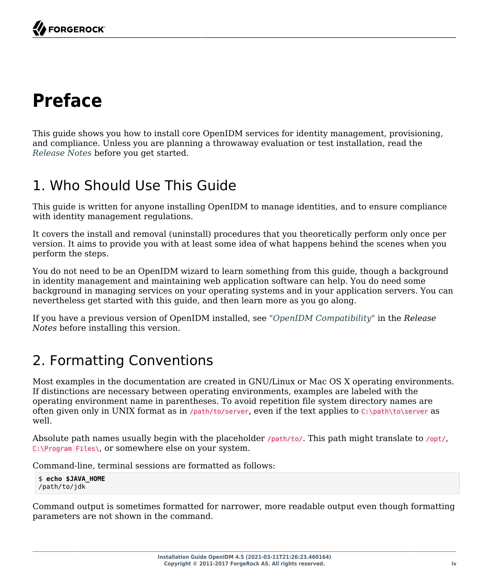# <span id="page-3-0"></span>**Preface**

This guide shows you how to install core OpenIDM services for identity management, provisioning, and compliance. Unless you are planning a throwaway evaluation or test installation, read the *Release Notes* before you get started.

## <span id="page-3-1"></span>1. Who Should Use This Guide

This guide is written for anyone installing OpenIDM to manage identities, and to ensure compliance with identity management regulations.

It covers the install and removal (uninstall) procedures that you theoretically perform only once per version. It aims to provide you with at least some idea of what happens behind the scenes when you perform the steps.

You do not need to be an OpenIDM wizard to learn something from this guide, though a background in identity management and maintaining web application software can help. You do need some background in managing services on your operating systems and in your application servers. You can nevertheless get started with this guide, and then learn more as you go along.

<span id="page-3-2"></span>If you have a previous version of OpenIDM installed, see "*OpenIDM Compatibility*" in the *Release Notes* before installing this version.

## 2. Formatting Conventions

Most examples in the documentation are created in GNU/Linux or Mac OS X operating environments. If distinctions are necessary between operating environments, examples are labeled with the operating environment name in parentheses. To avoid repetition file system directory names are often given only in UNIX format as in /path/to/server, even if the text applies to  $C:\partial C$ :\path\to\server as well.

Absolute path names usually begin with the placeholder /path/to/. This path might translate to /opt/, C:\Program Files\, or somewhere else on your system.

Command-line, terminal sessions are formatted as follows:

\$ **echo \$JAVA\_HOME** /path/to/jdk

Command output is sometimes formatted for narrower, more readable output even though formatting parameters are not shown in the command.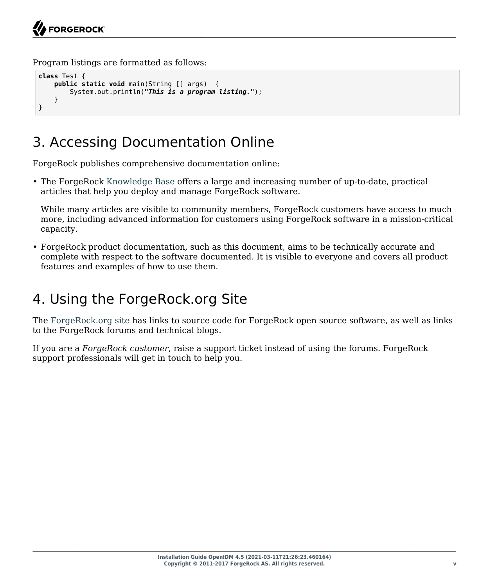Program listings are formatted as follows:

```
class Test {
     public static void main(String [] args) {
         System.out.println("This is a program listing.");
     }
}
```
## <span id="page-4-0"></span>3. Accessing Documentation Online

ForgeRock publishes comprehensive documentation online:

• The ForgeRock [Knowledge Base](https://backstage.forgerock.com/knowledge/kb) offers a large and increasing number of up-to-date, practical articles that help you deploy and manage ForgeRock software.

While many articles are visible to community members, ForgeRock customers have access to much more, including advanced information for customers using ForgeRock software in a mission-critical capacity.

• ForgeRock product documentation, such as this document, aims to be technically accurate and complete with respect to the software documented. It is visible to everyone and covers all product features and examples of how to use them.

## <span id="page-4-1"></span>4. Using the ForgeRock.org Site

The [ForgeRock.org site](https://forgerock.org) has links to source code for ForgeRock open source software, as well as links to the ForgeRock forums and technical blogs.

If you are a *ForgeRock customer*, raise a support ticket instead of using the forums. ForgeRock support professionals will get in touch to help you.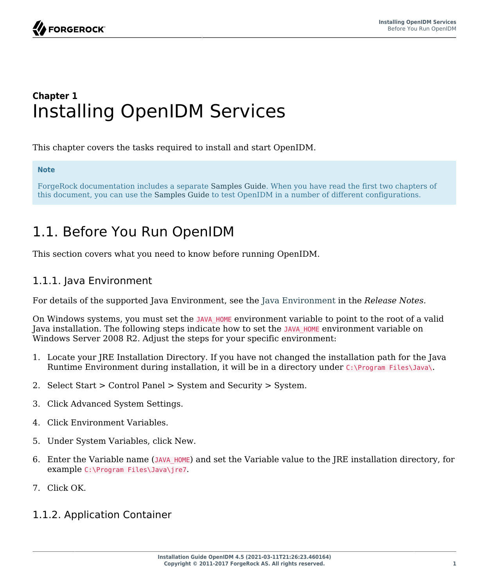## <span id="page-5-0"></span>**Chapter 1** Installing OpenIDM Services

This chapter covers the tasks required to install and start OpenIDM.

#### **Note**

ForgeRock documentation includes a separate Samples Guide. When you have read the first two chapters of this document, you can use the Samples Guide to test OpenIDM in a number of different configurations.

## <span id="page-5-1"></span>1.1. Before You Run OpenIDM

This section covers what you need to know before running OpenIDM.

### 1.1.1. Java Environment

<span id="page-5-3"></span>For details of the supported Java Environment, see the Java Environment in the *Release Notes*.

On Windows systems, you must set the JAVA HOME environment variable to point to the root of a valid Java installation. The following steps indicate how to set the JAVA HOME environment variable on Windows Server 2008 R2. Adjust the steps for your specific environment:

- 1. Locate your JRE Installation Directory. If you have not changed the installation path for the Java Runtime Environment during installation, it will be in a directory under C:\Program Files\Java\.
- 2. Select Start > Control Panel > System and Security > System.
- 3. Click Advanced System Settings.
- 4. Click Environment Variables.
- 5. Under System Variables, click New.
- 6. Enter the Variable name (JAVA HOME) and set the Variable value to the JRE installation directory, for example C:\Program Files\Java\jre7.
- 7. Click OK.

### <span id="page-5-2"></span>1.1.2. Application Container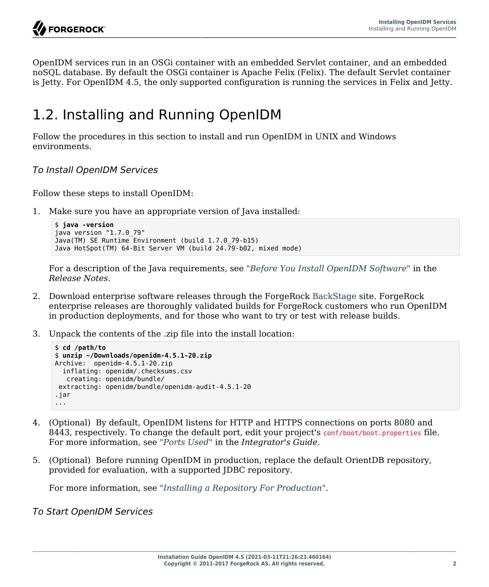OpenIDM services run in an OSGi container with an embedded Servlet container, and an embedded noSQL database. By default the OSGi container is Apache Felix (Felix). The default Servlet container is Jetty. For OpenIDM 4.5, the only supported configuration is running the services in Felix and Jetty.

## <span id="page-6-0"></span>1.2. Installing and Running OpenIDM

Follow the procedures in this section to install and run OpenIDM in UNIX and Windows environments.

### *To Install OpenIDM Services*

<span id="page-6-1"></span>Follow these steps to install OpenIDM:

1. Make sure you have an appropriate version of Java installed:

```
$ java -version
java version "1.7.0_79"
Java(TM) SE Runtime Environment (build 1.7.0_79-b15)
Java HotSpot(TM) 64-Bit Server VM (build 24.79-b02, mixed mode)
```
For a description of the Java requirements, see "*Before You Install OpenIDM Software*" in the *Release Notes*.

- 2. Download enterprise software releases through the ForgeRock [BackStage](https://backstage.forgerock.com/) site. ForgeRock enterprise releases are thoroughly validated builds for ForgeRock customers who run OpenIDM in production deployments, and for those who want to try or test with release builds.
- 3. Unpack the contents of the .zip file into the install location:

```
$ cd /path/to
$ unzip ~/Downloads/openidm-4.5.1-20.zip
Archive: openidm-4.5.1-20.zip
   inflating: openidm/.checksums.csv
    creating: openidm/bundle/
  extracting: openidm/bundle/openidm-audit-4.5.1-20
.jar
...
```
- 4. (Optional) By default, OpenIDM listens for HTTP and HTTPS connections on ports 8080 and 8443, respectively. To change the default port, edit your project's conf/boot/boot.properties file. For more information, see "*Ports Used*" in the *Integrator's Guide*.
- 5. (Optional) Before running OpenIDM in production, replace the default OrientDB repository, provided for evaluation, with a supported JDBC repository.

For more information, see "*[Installing a Repository For Production](#page-18-0)*".

<span id="page-6-2"></span>*To Start OpenIDM Services*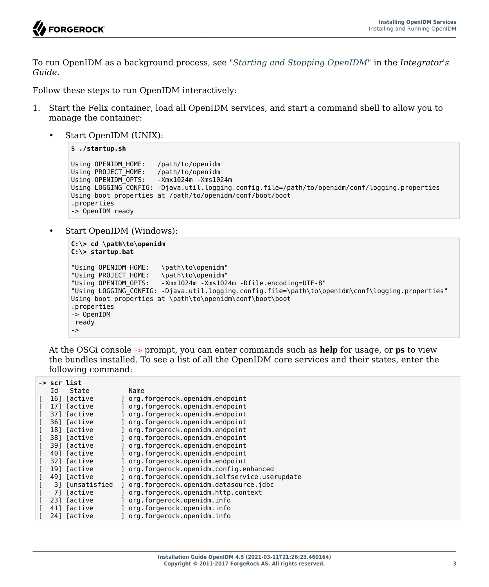

To run OpenIDM as a background process, see "*Starting and Stopping OpenIDM*" in the *Integrator's Guide*.

Follow these steps to run OpenIDM interactively:

- 1. Start the Felix container, load all OpenIDM services, and start a command shell to allow you to manage the container:
	- Start OpenIDM (UNIX):

```
$ ./startup.sh
```

```
Using OPENIDM HOME: /path/to/openidm
Using PROJECT_HOME: /path/to/openidm<br>Using OPENIDM OPTS: -Xmx1024m -Xms10
                        -Xmx1024m -Xms1024m
Using LOGGING_CONFIG: -Djava.util.logging.config.file=/path/to/openidm/conf/logging.properties
Using boot properties at /path/to/openidm/conf/boot/boot
.properties
-> OpenIDM ready
```
• Start OpenIDM (Windows):

```
C:\> cd \path\to\openidm
C:\> startup.bat
"Using OPENIDM HOME: \path\to\openidm"
"Using PROJECT_HOME: \path\to\openidm"
                     -Xmx1024m -Xms1024m -Dfile.encoding=UTF-8"
"Using LOGGING_CONFIG: -Djava.util.logging.config.file=\path\to\openidm\conf\logging.properties"
Using boot properties at \path\to\openidm\conf\boot\boot
.properties
-> OpenIDM
 ready
->
```
At the OSGi console -> prompt, you can enter commands such as **help** for usage, or **ps** to view the bundles installed. To see a list of all the OpenIDM core services and their states, enter the following command:

|     | -> scr list           |                                              |
|-----|-----------------------|----------------------------------------------|
| Id  | State                 | Name                                         |
| 161 | <i><b>Tactive</b></i> | org.forgerock.openidm.endpoint               |
| 171 | [active               | org.forgerock.openidm.endpoint               |
| 371 | Tactive               | org.forgerock.openidm.endpoint               |
| 361 | <i><b>Tactive</b></i> | org.forgerock.openidm.endpoint               |
| 181 | <i><b>Tactive</b></i> | org.forgerock.openidm.endpoint               |
| 381 | <i><b>Tactive</b></i> | org.forgerock.openidm.endpoint               |
| 391 | <i><b>Tactive</b></i> | org.forgerock.openidm.endpoint               |
| 401 | Tactive               | org.forgerock.openidm.endpoint               |
| 321 | Tactive               | org.forgerock.openidm.endpoint               |
| 191 | Tactive               | org.forgerock.openidm.config.enhanced        |
| 491 | Tactive               | org.forgerock.openidm.selfservice.userupdate |
| 31  | <i>l</i> unsatisfied  | org.forgerock.openidm.datasource.jdbc        |
| 71  | <i><b>Tactive</b></i> | org.forgerock.openidm.http.context           |
| 231 | <i><b>Tactive</b></i> | org.forgerock.openidm.info                   |
| 411 | <i>l</i> active       | org.forgerock.openidm.info                   |
| 241 | Tactive               | org.forgerock.openidm.info                   |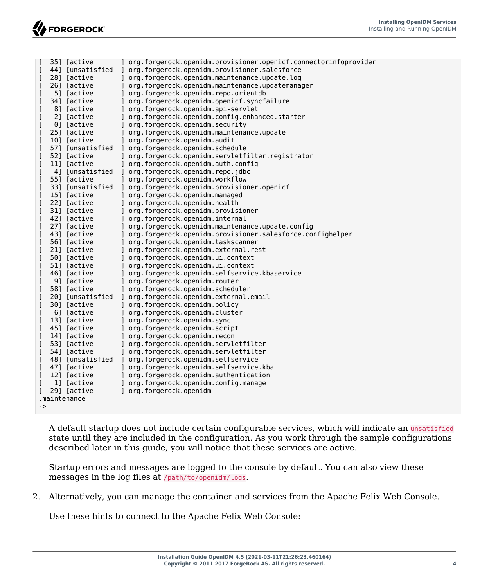| ſ  | 35] [active      | ] org.forgerock.openidm.provisioner.openicf.connectorinfoprovider |
|----|------------------|-------------------------------------------------------------------|
| ſ  | 44] [unsatisfied | ] org.forgerock.openidm.provisioner.salesforce                    |
| ſ  | 28] [active      | ] org.forgerock.openidm.maintenance.update.log                    |
| ſ  | 26] [active      | ] org.forgerock.openidm.maintenance.updatemanager                 |
| ſ  | 5] [active       | ] org.forgerock.openidm.repo.orientdb                             |
| ſ  | 34] [active      | ] org.forgerock.openidm.openicf.syncfailure                       |
| ſ  | 8] [active       | ] org.forgerock.openidm.api-servlet                               |
| ſ  | 2] [active       | ] org.forgerock.openidm.config.enhanced.starter                   |
| L  | 0] [active       | ] org.forgerock.openidm.security                                  |
| ſ  | 25] [active      | ] org.forgerock.openidm.maintenance.update                        |
| [  | 10] [active      | ] org.forgerock.openidm.audit                                     |
| ſ  | 57] [unsatisfied | ] org.forgerock.openidm.schedule                                  |
| ſ  | 52] [active      | ] org.forgerock.openidm.servletfilter.registrator                 |
| ſ  | 11] [active      | ] org.forgerock.openidm.auth.config                               |
| ſ  | 4] [unsatisfied  | ] org.forgerock.openidm.repo.jdbc                                 |
| ſ  | 55] [active      | ] org.forgerock.openidm.workflow                                  |
| ſ  | 33] [unsatisfied | ] org.forgerock.openidm.provisioner.openicf                       |
| ſ  | 15] [active      | ] org.forgerock.openidm.managed                                   |
| ſ  | 22] [active      | ] org.forgerock.openidm.health                                    |
| ſ  | 31] [active      | ] org.forgerock.openidm.provisioner                               |
| ſ  | 42] [active      | ] org.forgerock.openidm.internal                                  |
| ſ  | 27] [active      | ] org.forgerock.openidm.maintenance.update.config                 |
| ſ  | 43] [active      | ] org.forgerock.openidm.provisioner.salesforce.confighelper       |
| ſ  | 56] [active      | ] org.forgerock.openidm.taskscanner                               |
| ſ  | 21] [active      | ] org.forgerock.openidm.external.rest                             |
| ſ  | 50] [active      | ] org.forgerock.openidm.ui.context                                |
| ſ  | 51] [active      | ] org.forgerock.openidm.ui.context                                |
| ſ  | 46] [active      | ] org.forgerock.openidm.selfservice.kbaservice                    |
| ſ  | 9] [active       | ] org.forgerock.openidm.router                                    |
| ſ  | 58] [active      | ] org.forgerock.openidm.scheduler                                 |
| ſ  | 20] [unsatisfied | ] org.forgerock.openidm.external.email                            |
| ſ  | 30] [active      | ] org.forgerock.openidm.policy                                    |
| ſ  | 6] [active       | ] org.forgerock.openidm.cluster                                   |
| ſ  | 13] [active      | ] org.forgerock.openidm.sync                                      |
| ſ  | 45] [active      | ] org.forgerock.openidm.script                                    |
| ſ  | 14] [active      | ] org.forgerock.openidm.recon                                     |
| ſ  | 53] [active      | ] org.forgerock.openidm.servletfilter                             |
| ſ  | 54] [active      | ] org.forgerock.openidm.servletfilter                             |
| L  | 48] [unsatisfied | ] org.forgerock.openidm.selfservice                               |
| ſ  | 47] [active      | ] org.forgerock.openidm.selfservice.kba                           |
| ſ  | 12] [active      | ] org.forgerock.openidm.authentication                            |
| L  | 1] [active       | ] org.forgerock.openidm.config.manage                             |
| I  | 29] [active      | ] org.forgerock.openidm                                           |
|    | .maintenance     |                                                                   |
| -> |                  |                                                                   |
|    |                  |                                                                   |

A default startup does not include certain configurable services, which will indicate an unsatisfied state until they are included in the configuration. As you work through the sample configurations described later in this guide, you will notice that these services are active.

Startup errors and messages are logged to the console by default. You can also view these messages in the log files at /path/to/openidm/logs.

2. Alternatively, you can manage the container and services from the Apache Felix Web Console.

Use these hints to connect to the Apache Felix Web Console: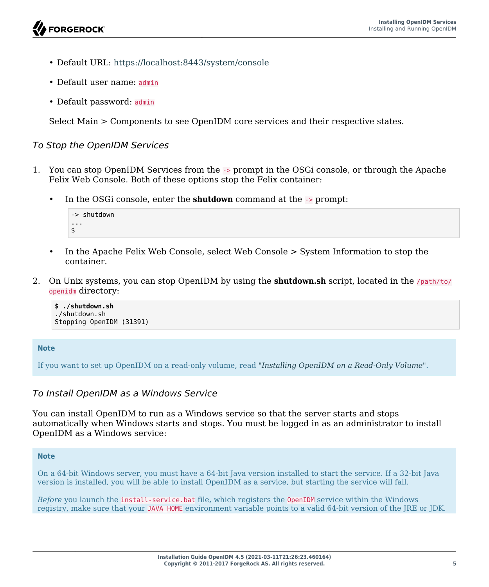- Default URL: <https://localhost:8443/system/console>
- Default user name: admin
- Default password: admin

Select Main > Components to see OpenIDM core services and their respective states.

#### <span id="page-9-0"></span>*To Stop the OpenIDM Services*

- <span id="page-9-1"></span>1. You can stop OpenIDM Services from the -> prompt in the OSGi console, or through the Apache Felix Web Console. Both of these options stop the Felix container:
	- In the OSGi console, enter the **shutdown** command at the -> prompt:

| -> shutdown      |  |
|------------------|--|
| $\sim$ 100 $\pm$ |  |
|                  |  |

- In the Apache Felix Web Console, select Web Console > System Information to stop the container.
- 2. On Unix systems, you can stop OpenIDM by using the **shutdown.sh** script, located in the /path/to/ openidm directory:

**\$ ./shutdown.sh** ./shutdown.sh Stopping OpenIDM (31391)

#### **Note**

If you want to set up OpenIDM on a read-only volume, read "*[Installing OpenIDM on a Read-Only Volume](#page-62-0)*".

#### *To Install OpenIDM as a Windows Service*

You can install OpenIDM to run as a Windows service so that the server starts and stops automatically when Windows starts and stops. You must be logged in as an administrator to install OpenIDM as a Windows service:

#### **Note**

On a 64-bit Windows server, you must have a 64-bit Java version installed to start the service. If a 32-bit Java version is installed, you will be able to install OpenIDM as a service, but starting the service will fail.

*Before* you launch the install-service.bat file, which registers the OpenIDM service within the Windows registry, make sure that your JAVA\_HOME environment variable points to a valid 64-bit version of the JRE or JDK.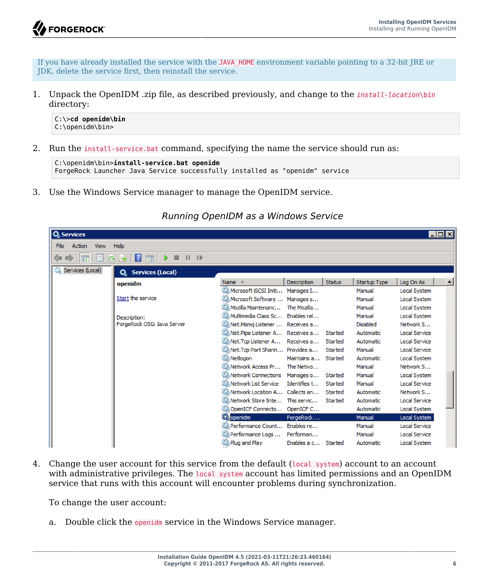

If you have already installed the service with the JAVA HOME environment variable pointing to a 32-bit JRE or JDK, delete the service first, then reinstall the service.

1. Unpack the OpenIDM .zip file, as described previously, and change to the *install-location*\bin directory:

C:\>**cd openidm\bin** C:\openidm\bin>

2. Run the install-service bat command, specifying the name the service should run as:

C:\openidm\bin>**install-service.bat openidm** ForgeRock Launcher Java Service successfully installed as "openidm" service

3. Use the Windows Service manager to manage the OpenIDM service.

| <b>Q</b> Services             |                            |                                          |                     |               |                  | $\Box$ o $\Box$      |                  |
|-------------------------------|----------------------------|------------------------------------------|---------------------|---------------|------------------|----------------------|------------------|
| <b>Action</b><br>File<br>View | Help                       |                                          |                     |               |                  |                      |                  |
| ⇚                             | 罱<br>Ð                     |                                          |                     |               |                  |                      |                  |
| Services (Local)              | C. Services (Local)        |                                          |                     |               |                  |                      |                  |
|                               | openidm                    | Name $\triangle$                         | <b>Description</b>  | <b>Status</b> | Startup Type     | Log On As            | $\blacktriangle$ |
|                               |                            | Microsoft iSCSI Initi Manages I          |                     |               | Manual           | Local System         |                  |
|                               | Start the service          | C. Microsoft Software  Manages s         |                     |               | Manual           | <b>Local System</b>  |                  |
|                               |                            | Mozilla Maintenanc The Mozilla           |                     |               | Manual           | <b>Local System</b>  |                  |
|                               | Description:               | S. Multimedia Class Sc Enables rel       |                     |               | Manual           | <b>Local System</b>  |                  |
|                               | ForgeRock OSGi Java Server | Wet.Msmq Listener  Receives a            |                     |               | <b>Disabled</b>  | Network S            |                  |
|                               |                            | C. Net.Pipe Listener A Receives a        |                     | Started       | Automatic        | Local Service        |                  |
|                               |                            | <b>Q.</b> Net. Tcp Listener A Receives a |                     | Started       | <b>Automatic</b> | <b>Local Service</b> |                  |
|                               |                            | S. Net. Tcp Port Sharin Provides a       |                     | Started       | Manual           | <b>Local Service</b> |                  |
|                               |                            | <b>O</b> Netlogon                        | Maintains a Started |               | Automatic        | <b>Local System</b>  |                  |
|                               |                            | Metwork Access Pr The Netwo              |                     |               | Manual           | Network S            |                  |
|                               |                            | <b>CA</b> Network Connections Manages o  |                     | Started       | Manual           | <b>Local System</b>  |                  |
|                               |                            | <b>CA Network List Service</b>           | Identifies t        | Started       | Manual           | Local Service        |                  |
|                               |                            | C. Network Location A Collects an        |                     | Started       | Automatic        | Network S            |                  |
|                               |                            | S. Network Store Inte This servic        |                     | Started       | Automatic        | Local Service        |                  |
|                               |                            | C. OpenICF Connecto OpenICF C            |                     |               | Automatic        | <b>Local System</b>  |                  |
|                               |                            | <b>O</b> bpenidm                         | ForgeRock           |               | Manual           | Local System         |                  |
|                               |                            | C. Performance Count Enables re          |                     |               | Manual           | <b>Local Service</b> |                  |
|                               |                            | <b>Q.</b> Performance Logs               | Performan           |               | Manual           | <b>Local Service</b> |                  |
|                               |                            | C. Plug and Play                         | Enables a c Started |               | Automatic        | Local System         |                  |

### *Running OpenIDM as a Windows Service*

4. Change the user account for this service from the default (local system) account to an account with administrative privileges. The local system account has limited permissions and an OpenIDM service that runs with this account will encounter problems during synchronization.

To change the user account:

a. Double click the openidm service in the Windows Service manager.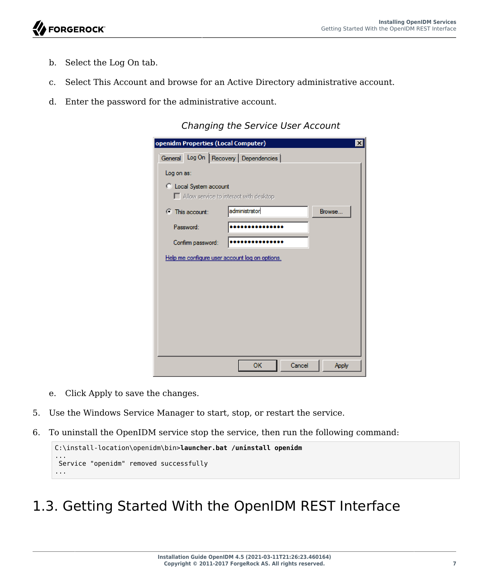- b. Select the Log On tab.
- c. Select This Account and browse for an Active Directory administrative account.
- d. Enter the password for the administrative account.

*Changing the Service User Account*

|            |                         | openidm Properties (Local Computer)            | $\mathsf{x}$ |
|------------|-------------------------|------------------------------------------------|--------------|
|            |                         | General Log On   Recovery   Dependencies       |              |
| Log on as: |                         |                                                |              |
|            | C Local System account  |                                                |              |
|            |                         | Allow service to interact with desktop         |              |
|            | $\bullet$ This account: | administrator<br>Browse                        |              |
|            | Password:               |                                                |              |
|            | Confirm password:       |                                                |              |
|            |                         | Help me configure user account log on options. |              |
|            |                         |                                                |              |
|            |                         |                                                |              |
|            |                         |                                                |              |
|            |                         |                                                |              |
|            |                         |                                                |              |
|            |                         |                                                |              |
|            |                         |                                                |              |
|            |                         | OK<br>Cancel<br>Apply                          |              |

- e. Click Apply to save the changes.
- 5. Use the Windows Service Manager to start, stop, or restart the service.
- 6. To uninstall the OpenIDM service stop the service, then run the following command:

```
C:\install-location\openidm\bin>launcher.bat /uninstall openidm
...
 Service "openidm" removed successfully
...
```
<span id="page-11-1"></span><span id="page-11-0"></span>1.3. Getting Started With the OpenIDM REST Interface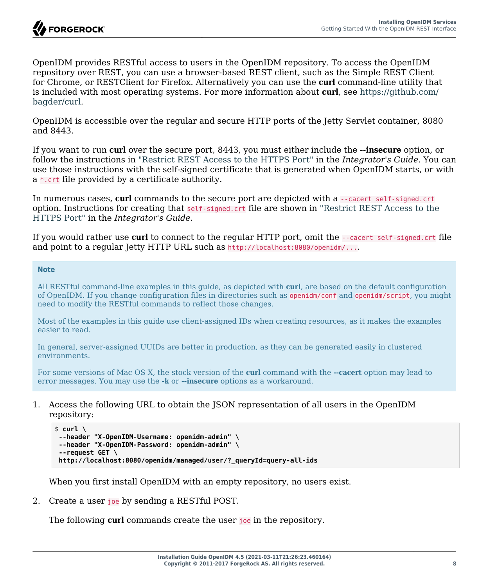

OpenIDM provides RESTful access to users in the OpenIDM repository. To access the OpenIDM repository over REST, you can use a browser-based REST client, such as the Simple REST Client for Chrome, or RESTClient for Firefox. Alternatively you can use the **curl** command-line utility that is included with most operating systems. For more information about **curl**, see [https://github.com/](https://github.com/bagder/curl) [bagder/curl](https://github.com/bagder/curl).

OpenIDM is accessible over the regular and secure HTTP ports of the Jetty Servlet container, 8080 and 8443.

If you want to run **curl** over the secure port, 8443, you must either include the **--insecure** option, or follow the instructions in "Restrict REST Access to the HTTPS Port" in the *Integrator's Guide*. You can use those instructions with the self-signed certificate that is generated when OpenIDM starts, or with a \*.crt file provided by a certificate authority.

In numerous cases, **curl** commands to the secure port are depicted with a --cacert self-signed.crt option. Instructions for creating that self-signed.crt file are shown in "Restrict REST Access to the HTTPS Port" in the *Integrator's Guide*.

If you would rather use **curl** to connect to the regular HTTP port, omit the --cacert self-signed.crt file and point to a regular Jetty HTTP URL such as http://localhost:8080/openidm/....

#### **Note**

All RESTful command-line examples in this guide, as depicted with **curl**, are based on the default configuration of OpenIDM. If you change configuration files in directories such as openidm/conf and openidm/script, you might need to modify the RESTful commands to reflect those changes.

Most of the examples in this guide use client-assigned IDs when creating resources, as it makes the examples easier to read.

In general, server-assigned UUIDs are better in production, as they can be generated easily in clustered environments.

For some versions of Mac OS X, the stock version of the **curl** command with the **--cacert** option may lead to error messages. You may use the **-k** or **--insecure** options as a workaround.

1. Access the following URL to obtain the JSON representation of all users in the OpenIDM repository:

```
$ curl \
 --header "X-OpenIDM-Username: openidm-admin" \
--header "X-OpenIDM-Password: openidm-admin" \
 --request GET \
 http://localhost:8080/openidm/managed/user/?_queryId=query-all-ids
```
When you first install OpenIDM with an empty repository, no users exist.

2. Create a user joe by sending a RESTful POST.

The following **curl** commands create the user joe in the repository.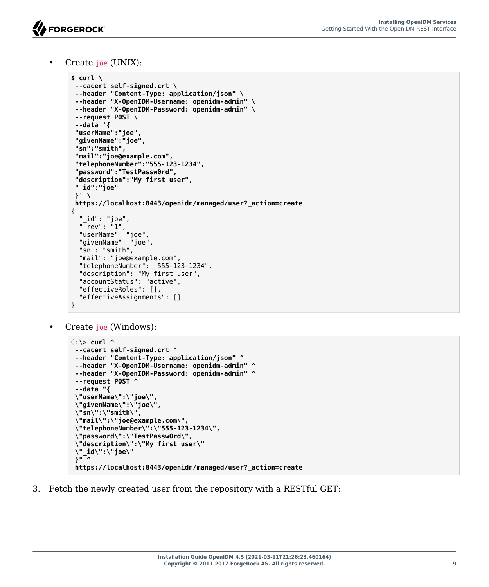• Create joe (UNIX):

```
$ curl \
 --cacert self-signed.crt \
 --header "Content-Type: application/json" \
 --header "X-OpenIDM-Username: openidm-admin" \
 --header "X-OpenIDM-Password: openidm-admin" \
 --request POST \
 --data '{
  "userName":"joe",
  "givenName":"joe",
  "sn":"smith",
  "mail":"joe@example.com",
  "telephoneNumber":"555-123-1234",
  "password":"TestPassw0rd",
  "description":"My first user",
  "_id":"joe"
 \overline{Y} \overline{Y} https://localhost:8443/openidm/managed/user?_action=create
{
 "_id": "joe",
 "_rev": "1",
   "userName": "joe",
   "givenName": "joe",
   "sn": "smith",
   "mail": "joe@example.com",
   "telephoneNumber": "555-123-1234",
   "description": "My first user",
   "accountStatus": "active",
   "effectiveRoles": [],
   "effectiveAssignments": []
}
```
• Create joe (Windows):

```
C:\> curl ^
 --cacert self-signed.crt ^
 --header "Content-Type: application/json" ^
 --header "X-OpenIDM-Username: openidm-admin" ^
 --header "X-OpenIDM-Password: openidm-admin" ^
 --request POST ^
 --data "{
  \"userName\":\"joe\",
  \"givenName\":\"joe\",
  \"sn\":\"smith\",
  \"mail\":\"joe@example.com\",
  \"telephoneNumber\":\"555-123-1234\",
  \"password\":\"TestPassw0rd\",
  \"description\":\"My first user\"
 \"_id\":\"joe\"
 }" ^
  https://localhost:8443/openidm/managed/user?_action=create
```
3. Fetch the newly created user from the repository with a RESTful GET: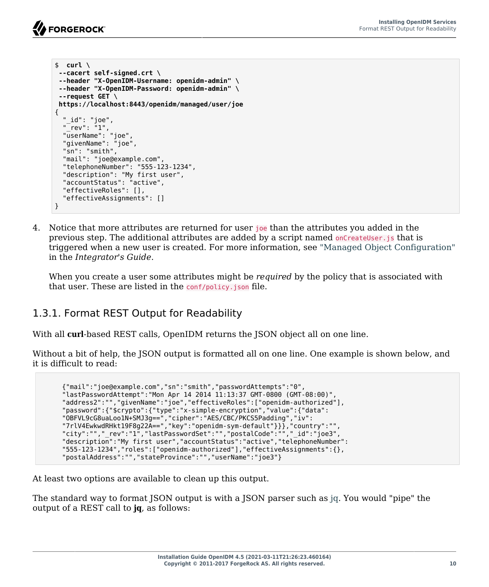```
$ curl \
 --cacert self-signed.crt \
 --header "X-OpenIDM-Username: openidm-admin" \
 --header "X-OpenIDM-Password: openidm-admin" \
 --request GET \
  https://localhost:8443/openidm/managed/user/joe
{
   "_id": "joe",
   "_rev": "1",
   "userName": "joe",
   "givenName": "joe",
   "sn": "smith",
   "mail": "joe@example.com",
   "telephoneNumber": "555-123-1234",
   "description": "My first user",
   "accountStatus": "active",
   "effectiveRoles": [],
   "effectiveAssignments": []
}
```
4. Notice that more attributes are returned for user joe than the attributes you added in the previous step. The additional attributes are added by a script named onCreateUser. is that is triggered when a new user is created. For more information, see "Managed Object Configuration" in the *Integrator's Guide*.

When you create a user some attributes might be *required* by the policy that is associated with that user. These are listed in the conf/policy.json file.

### 1.3.1. Format REST Output for Readability

With all **curl**-based REST calls, OpenIDM returns the JSON object all on one line.

Without a bit of help, the JSON output is formatted all on one line. One example is shown below, and it is difficult to read:

```
 {"mail":"joe@example.com","sn":"smith","passwordAttempts":"0",
 "lastPasswordAttempt":"Mon Apr 14 2014 11:13:37 GMT-0800 (GMT-08:00)",
      "address2":"","givenName":"joe","effectiveRoles":["openidm-authorized"],
      "password":{"$crypto":{"type":"x-simple-encryption","value":{"data":
 "OBFVL9cG8uaLoo1N+SMJ3g==","cipher":"AES/CBC/PKCS5Padding","iv":
 "7rlV4EwkwdRHkt19F8g22A==","key":"openidm-sym-default"}}},"country":"",
      "city":"","_rev":"1","lastPasswordSet":"","postalCode":"","_id":"joe3",
      "description":"My first user","accountStatus":"active","telephoneNumber":
      "555-123-1234","roles":["openidm-authorized"],"effectiveAssignments":{},
      "postalAddress":"","stateProvince":"","userName":"joe3"}
```
At least two options are available to clean up this output.

The standard way to format JSON output is with a JSON parser such as [jq.](http://stedolan.github.io/jq/) You would "pipe" the output of a REST call to **jq**, as follows: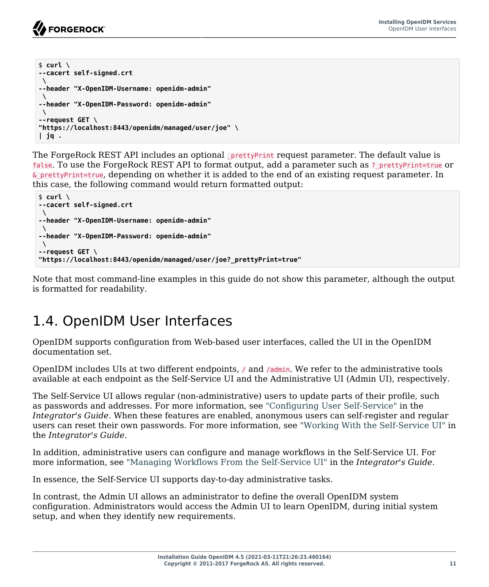

```
$ curl \
--cacert self-signed.crt
 \
--header "X-OpenIDM-Username: openidm-admin"
 \
--header "X-OpenIDM-Password: openidm-admin"
 \
--request GET \
"https://localhost:8443/openidm/managed/user/joe" \
| jq .
```
The ForgeRock REST API includes an optional prettyPrint request parameter. The default value is false. To use the ForgeRock REST API to format output, add a parameter such as ? prettyPrint=true or &\_prettyPrint=true, depending on whether it is added to the end of an existing request parameter. In this case, the following command would return formatted output:

```
$ curl \
--cacert self-signed.crt
 \
--header "X-OpenIDM-Username: openidm-admin"
 \
--header "X-OpenIDM-Password: openidm-admin"
 \
--request GET \
"https://localhost:8443/openidm/managed/user/joe?_prettyPrint=true"
```
Note that most command-line examples in this guide do not show this parameter, although the output is formatted for readability.

## <span id="page-15-0"></span>1.4. OpenIDM User Interfaces

OpenIDM supports configuration from Web-based user interfaces, called the UI in the OpenIDM documentation set.

OpenIDM includes UIs at two different endpoints, / and /admin. We refer to the administrative tools available at each endpoint as the Self-Service UI and the Administrative UI (Admin UI), respectively.

The Self-Service UI allows regular (non-administrative) users to update parts of their profile, such as passwords and addresses. For more information, see "Configuring User Self-Service" in the *Integrator's Guide*. When these features are enabled, anonymous users can self-register and regular users can reset their own passwords. For more information, see "Working With the Self-Service UI" in the *Integrator's Guide*.

In addition, administrative users can configure and manage workflows in the Self-Service UI. For more information, see "Managing Workflows From the Self-Service UI" in the *Integrator's Guide*.

In essence, the Self-Service UI supports day-to-day administrative tasks.

In contrast, the Admin UI allows an administrator to define the overall OpenIDM system configuration. Administrators would access the Admin UI to learn OpenIDM, during initial system setup, and when they identify new requirements.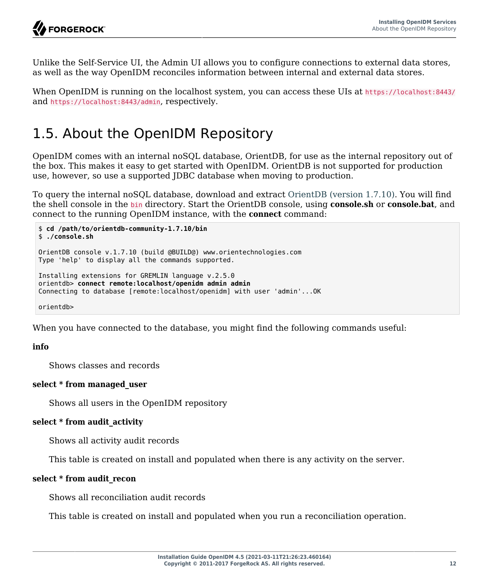Unlike the Self-Service UI, the Admin UI allows you to configure connections to external data stores, as well as the way OpenIDM reconciles information between internal and external data stores.

<span id="page-16-0"></span>When OpenIDM is running on the localhost system, you can access these UIs at https://localhost:8443/ and https://localhost:8443/admin, respectively.

## 1.5. About the OpenIDM Repository

OpenIDM comes with an internal noSQL database, OrientDB, for use as the internal repository out of the box. This makes it easy to get started with OpenIDM. OrientDB is not supported for production use, however, so use a supported JDBC database when moving to production.

To query the internal noSQL database, download and extract [OrientDB \(version 1.7.10\).](https://search.maven.org/remotecontent?filepath=com/orientechnologies/orientdb-community/1.7.10/orientdb-community-1.7.10-distribution.zip) You will find the shell console in the bin directory. Start the OrientDB console, using **console.sh** or **console.bat**, and connect to the running OpenIDM instance, with the **connect** command:

```
$ cd /path/to/orientdb-community-1.7.10/bin
$ ./console.sh
OrientDB console v.1.7.10 (build @BUILD@) www.orientechnologies.com
Type 'help' to display all the commands supported.
Installing extensions for GREMLIN language v.2.5.0
orientdb> connect remote:localhost/openidm admin admin
Connecting to database [remote:localhost/openidm] with user 'admin'...OK
orientdb>
```
When you have connected to the database, you might find the following commands useful:

#### **info**

Shows classes and records

#### **select \* from managed\_user**

Shows all users in the OpenIDM repository

#### **select \* from audit\_activity**

Shows all activity audit records

This table is created on install and populated when there is any activity on the server.

#### **select \* from audit\_recon**

Shows all reconciliation audit records

This table is created on install and populated when you run a reconciliation operation.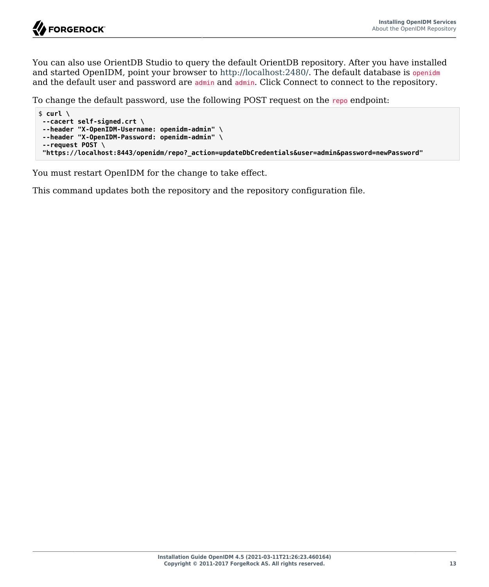You can also use OrientDB Studio to query the default OrientDB repository. After you have installed and started OpenIDM, point your browser to [http://localhost:2480/.](http://localhost:2480/) The default database is openidm and the default user and password are admin and admin. Click Connect to connect to the repository.

To change the default password, use the following POST request on the repo endpoint:

```
$ curl \
 --cacert self-signed.crt \
 --header "X-OpenIDM-Username: openidm-admin" \
 --header "X-OpenIDM-Password: openidm-admin" \
 --request POST \
  "https://localhost:8443/openidm/repo?_action=updateDbCredentials&user=admin&password=newPassword"
```
You must restart OpenIDM for the change to take effect.

This command updates both the repository and the repository configuration file.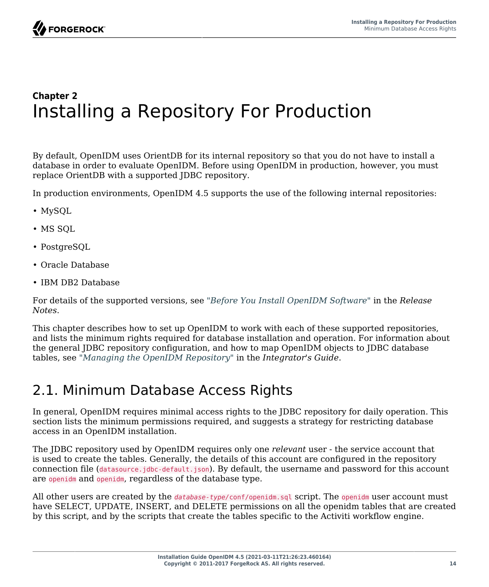## <span id="page-18-0"></span>**Chapter 2** Installing a Repository For Production

<span id="page-18-2"></span>By default, OpenIDM uses OrientDB for its internal repository so that you do not have to install a database in order to evaluate OpenIDM. Before using OpenIDM in production, however, you must replace OrientDB with a supported JDBC repository.

In production environments, OpenIDM 4.5 supports the use of the following internal repositories:

- MySQL
- MS SQL
- PostgreSQL
- Oracle Database
- IBM DB2 Database

For details of the supported versions, see "*Before You Install OpenIDM Software*" in the *Release Notes*.

This chapter describes how to set up OpenIDM to work with each of these supported repositories, and lists the minimum rights required for database installation and operation. For information about the general JDBC repository configuration, and how to map OpenIDM objects to JDBC database tables, see "*Managing the OpenIDM Repository*" in the *Integrator's Guide*.

## <span id="page-18-1"></span>2.1. Minimum Database Access Rights

In general, OpenIDM requires minimal access rights to the JDBC repository for daily operation. This section lists the minimum permissions required, and suggests a strategy for restricting database access in an OpenIDM installation.

The JDBC repository used by OpenIDM requires only one *relevant* user - the service account that is used to create the tables. Generally, the details of this account are configured in the repository connection file (datasource.jdbc-default.json). By default, the username and password for this account are openidm and openidm, regardless of the database type.

All other users are created by the *database-type/*conf/openidm.sql script. The openidm user account must have SELECT, UPDATE, INSERT, and DELETE permissions on all the openidm tables that are created by this script, and by the scripts that create the tables specific to the Activiti workflow engine.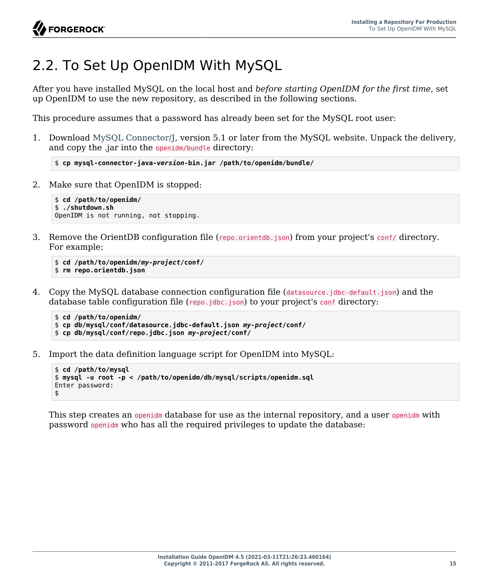# <span id="page-19-0"></span>2.2. To Set Up OpenIDM With MySQL

After you have installed MySQL on the local host and *before starting OpenIDM for the first time*, set up OpenIDM to use the new repository, as described in the following sections.

This procedure assumes that a password has already been set for the MySQL root user:

1. Download [MySQL Connector/J](http://dev.mysql.com/downloads/connector/j/5.1.html), version 5.1 or later from the MySQL website. Unpack the delivery, and copy the .jar into the openidm/bundle directory:

```
$ cp mysql-connector-java-version-bin.jar /path/to/openidm/bundle/
```
2. Make sure that OpenIDM is stopped:

```
$ cd /path/to/openidm/
$ ./shutdown.sh
OpenIDM is not running, not stopping.
```
3. Remove the OrientDB configuration file (repo.orientdb.json) from your project's conf/ directory. For example:

```
$ cd /path/to/openidm/my-project/conf/
$ rm repo.orientdb.json
```
4. Copy the MySQL database connection configuration file (datasource.jdbc-default.json) and the database table configuration file (repo.jdbc.json) to your project's conf directory:

```
$ cd /path/to/openidm/
$ cp db/mysql/conf/datasource.jdbc-default.json my-project/conf/
$ cp db/mysql/conf/repo.jdbc.json my-project/conf/
```
5. Import the data definition language script for OpenIDM into MySQL:

```
$ cd /path/to/mysql
$ mysql -u root -p < /path/to/openidm/db/mysql/scripts/openidm.sql
Enter password:
$
```
This step creates an openidm database for use as the internal repository, and a user openidm with password openidm who has all the required privileges to update the database: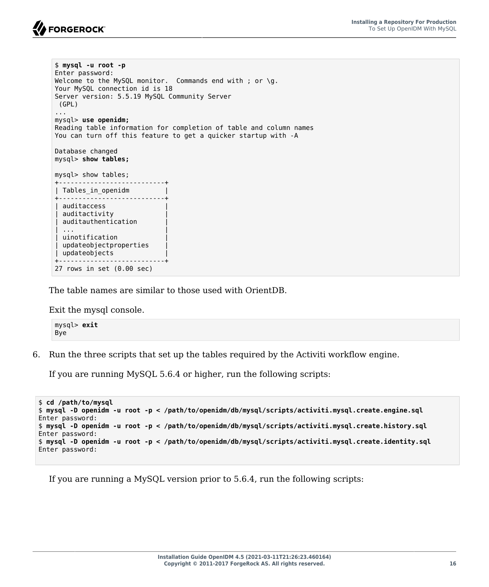

```
$ mysql -u root -p
Enter password:
Welcome to the MySQL monitor. Commands end with ; or \q.
Your MySQL connection id is 18
Server version: 5.5.19 MySQL Community Server
  (GPL)
...
mysql> use openidm;
Reading table information for completion of table and column names
You can turn off this feature to get a quicker startup with -A
Database changed
mysql> show tables;
mysql> show tables;
+---------------------------+
| Tables_in_openidm |
+---------------------------+
| auditaccess |
| auditactivity |
| auditauthentication |
| ... |
| uinotification |
| updateobjectproperties |
| updateobjects |
+---------------------------+
27 rows in set (0.00 sec)
```
The table names are similar to those used with OrientDB.

Exit the mysql console.

```
mysql> exit
Bye
```
6. Run the three scripts that set up the tables required by the Activiti workflow engine.

If you are running MySQL 5.6.4 or higher, run the following scripts:

```
$ cd /path/to/mysql
$ mysql -D openidm -u root -p < /path/to/openidm/db/mysql/scripts/activiti.mysql.create.engine.sql
Enter password: 
$ mysql -D openidm -u root -p < /path/to/openidm/db/mysql/scripts/activiti.mysql.create.history.sql
Enter password: 
$ mysql -D openidm -u root -p < /path/to/openidm/db/mysql/scripts/activiti.mysql.create.identity.sql
Enter password:
```
If you are running a MySQL version prior to 5.6.4, run the following scripts: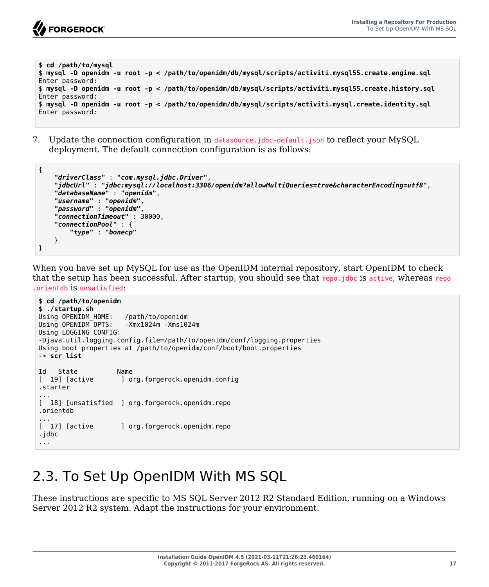

```
$ cd /path/to/mysql
$ mysql -D openidm -u root -p < /path/to/openidm/db/mysql/scripts/activiti.mysql55.create.engine.sql
Enter password: 
$ mysql -D openidm -u root -p < /path/to/openidm/db/mysql/scripts/activiti.mysql55.create.history.sql
Enter password: 
$ mysql -D openidm -u root -p < /path/to/openidm/db/mysql/scripts/activiti.mysql.create.identity.sql
Enter password:
```
7. Update the connection configuration in datasource.jdbc-default.json to reflect your MySQL deployment. The default connection configuration is as follows:

```
{
     "driverClass" : "com.mysql.jdbc.Driver",
     "jdbcUrl" : "jdbc:mysql://localhost:3306/openidm?allowMultiQueries=true&characterEncoding=utf8",
     "databaseName" : "openidm",
     "username" : "openidm",
     "password" : "openidm",
     "connectionTimeout" : 30000,
     "connectionPool" : {
         "type" : "bonecp"
     }
}
```
When you have set up MySQL for use as the OpenIDM internal repository, start OpenIDM to check that the setup has been successful. After startup, you should see that repo.jdbc is active, whereas repo .orientdb is unsatisfied:

```
$ cd /path/to/openidm
$ ./startup.sh
Using OPENIDM_HOME: /path/to/openidm<br>Using OPENIDM OPTS: -Xmx1024m -Xms10
                       -Xmx1024m -Xms1024m
Using LOGGING_CONFIG:
-Djava.util.logging.config.file=/path/to/openidm/conf/logging.properties
Using boot properties at /path/to/openidm/conf/boot/boot.properties
-> scr list
Id State Name
[ 19] [active ] org.forgerock.openidm.config
.starter
...
[ 18] [unsatisfied ] org.forgerock.openidm.repo
.orientdb
...
[ 17] [active ] org.forgerock.openidm.repo
.jdbc
...
```
# <span id="page-21-0"></span>2.3. To Set Up OpenIDM With MS SQL

These instructions are specific to MS SQL Server 2012 R2 Standard Edition, running on a Windows Server 2012 R2 system. Adapt the instructions for your environment.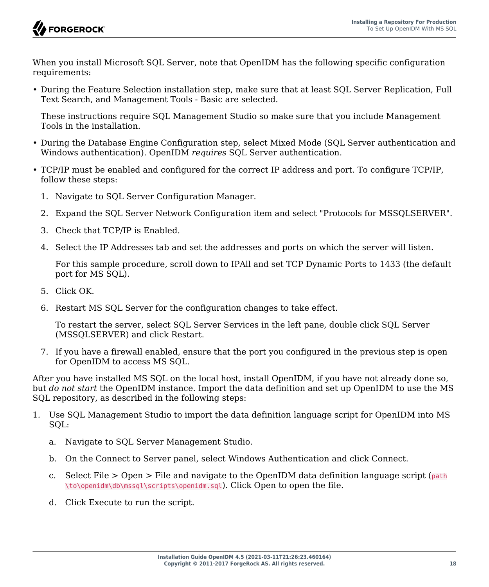When you install Microsoft SQL Server, note that OpenIDM has the following specific configuration requirements:

• During the Feature Selection installation step, make sure that at least SQL Server Replication, Full Text Search, and Management Tools - Basic are selected.

These instructions require SQL Management Studio so make sure that you include Management Tools in the installation.

- During the Database Engine Configuration step, select Mixed Mode (SQL Server authentication and Windows authentication). OpenIDM *requires* SQL Server authentication.
- TCP/IP must be enabled and configured for the correct IP address and port. To configure TCP/IP, follow these steps:
	- 1. Navigate to SQL Server Configuration Manager.
	- 2. Expand the SQL Server Network Configuration item and select "Protocols for MSSQLSERVER".
	- 3. Check that TCP/IP is Enabled.
	- 4. Select the IP Addresses tab and set the addresses and ports on which the server will listen.

For this sample procedure, scroll down to IPAll and set TCP Dynamic Ports to 1433 (the default port for MS SQL).

- 5. Click OK.
- 6. Restart MS SQL Server for the configuration changes to take effect.

To restart the server, select SQL Server Services in the left pane, double click SQL Server (MSSQLSERVER) and click Restart.

7. If you have a firewall enabled, ensure that the port you configured in the previous step is open for OpenIDM to access MS SQL.

After you have installed MS SQL on the local host, install OpenIDM, if you have not already done so, but *do not start* the OpenIDM instance. Import the data definition and set up OpenIDM to use the MS SQL repository, as described in the following steps:

- 1. Use SQL Management Studio to import the data definition language script for OpenIDM into MS SQL:
	- a. Navigate to SQL Server Management Studio.
	- b. On the Connect to Server panel, select Windows Authentication and click Connect.
	- c. Select File  $>$  Open  $>$  File and navigate to the OpenIDM data definition language script (path \to\openidm\db\mssql\scripts\openidm.sql). Click Open to open the file.
	- d. Click Execute to run the script.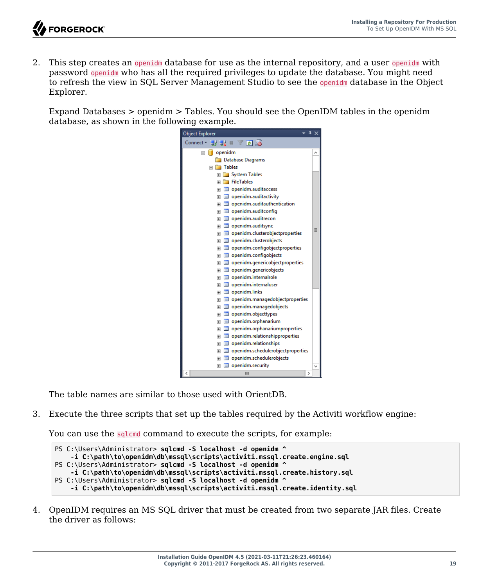2. This step creates an openidm database for use as the internal repository, and a user openidm with password openidm who has all the required privileges to update the database. You might need to refresh the view in SQL Server Management Studio to see the openidm database in the Object Explorer.

Expand Databases > openidm > Tables. You should see the OpenIDM tables in the openidm database, as shown in the following example.



The table names are similar to those used with OrientDB.

3. Execute the three scripts that set up the tables required by the Activiti workflow engine:

You can use the sqlcmd command to execute the scripts, for example:

```
PS C:\Users\Administrator> sqlcmd -S localhost -d openidm ^
     -i C:\path\to\openidm\db\mssql\scripts\activiti.mssql.create.engine.sql
PS C:\Users\Administrator> sqlcmd -S localhost -d openidm ^
     -i C:\path\to\openidm\db\mssql\scripts\activiti.mssql.create.history.sql
PS C:\Users\Administrator> sqlcmd -S localhost -d openidm ^
     -i C:\path\to\openidm\db\mssql\scripts\activiti.mssql.create.identity.sql
```
4. OpenIDM requires an MS SQL driver that must be created from two separate JAR files. Create the driver as follows: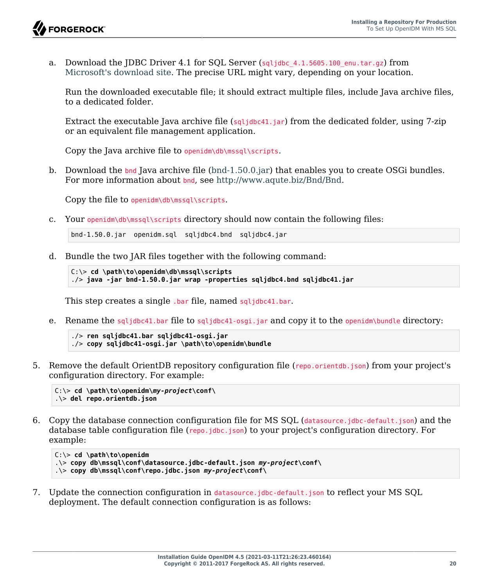a. Download the JDBC Driver 4.1 for SQL Server (sqljdbc 4.1.5605.100 enu.tar.gz) from [Microsoft's download site](http://www.microsoft.com/en-us/download/details.aspx?id=11774). The precise URL might vary, depending on your location.

Run the downloaded executable file; it should extract multiple files, include Java archive files, to a dedicated folder.

Extract the executable Java archive file  $(sq1jdbc41.jar)$  from the dedicated folder, using 7-zip or an equivalent file management application.

Copy the Java archive file to openidm\db\mssql\scripts.

b. Download the bnd Java archive file [\(bnd-1.50.0.jar\)](https://repo1.maven.org/maven2/biz/aQute/bnd/1.50.0/bnd-1.50.0.jar) that enables you to create OSGi bundles. For more information about bnd, see<http://www.aqute.biz/Bnd/Bnd>.

Copy the file to openidm\db\mssql\scripts.

c. Your openidm\db\mssql\scripts directory should now contain the following files:

bnd-1.50.0.jar openidm.sql sqljdbc4.bnd sqljdbc4.jar

d. Bundle the two JAR files together with the following command:

```
C:\> cd \path\to\openidm\db\mssql\scripts
./> java -jar bnd-1.50.0.jar wrap -properties sqljdbc4.bnd sqljdbc41.jar
```
This step creates a single .bar file, named sqljdbc41.bar.

e. Rename the sqlidbc41.bar file to sqlidbc41-osqi.jar and copy it to the openidm\bundle directory:

```
./> ren sqljdbc41.bar sqljdbc41-osgi.jar
./> copy sqljdbc41-osgi.jar \path\to\openidm\bundle
```
5. Remove the default OrientDB repository configuration file (repo.orientdb.json) from your project's configuration directory. For example:

```
C:\> cd \path\to\openidm\my-project\conf\
.\> del repo.orientdb.json
```
6. Copy the database connection configuration file for MS SQL (datasource.jdbc-default.json) and the database table configuration file (repo.jdbc.json) to your project's configuration directory. For example:

```
C:\> cd \path\to\openidm
.\> copy db\mssql\conf\datasource.jdbc-default.json my-project\conf\
.\> copy db\mssql\conf\repo.jdbc.json my-project\conf\
```
7. Update the connection configuration in datasource.jdbc-default.json to reflect your MS SQL deployment. The default connection configuration is as follows: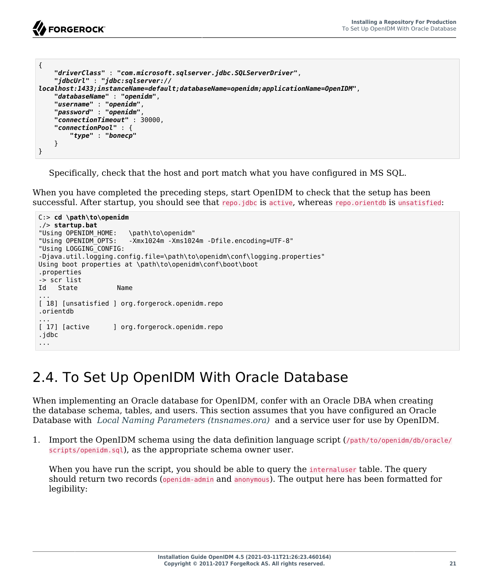

```
{
     "driverClass" : "com.microsoft.sqlserver.jdbc.SQLServerDriver",
     "jdbcUrl" : "jdbc:sqlserver://
localhost:1433;instanceName=default;databaseName=openidm;applicationName=OpenIDM",
     "databaseName" : "openidm",
     "username" : "openidm",
     "password" : "openidm",
     "connectionTimeout" : 30000,
     "connectionPool" : {
         "type" : "bonecp"
     }
}
```
Specifically, check that the host and port match what you have configured in MS SQL.

When you have completed the preceding steps, start OpenIDM to check that the setup has been successful. After startup, you should see that repo.jdbc is active, whereas repo.orientdb is unsatisfied:

```
C:> cd \path\to\openidm
./> startup.bat
"Using OPENIDM_HOME: \path\to\openidm"
                      -Xmx1024m -Xms1024m -Dfile.encoding=UTF-8"
"Using LOGGING_CONFIG:
-Djava.util.logging.config.file=\path\to\openidm\conf\logging.properties"
Using boot properties at \path\to\openidm\conf\boot\boot
.properties
-> scr list
    State Name
...
[ 18] [unsatisfied ] org.forgerock.openidm.repo
.orientdb
...
[ 17] [active ] org.forgerock.openidm.repo
.jdbc
...
```
## <span id="page-25-0"></span>2.4. To Set Up OpenIDM With Oracle Database

When implementing an Oracle database for OpenIDM, confer with an Oracle DBA when creating the database schema, tables, and users. This section assumes that you have configured an Oracle Database with *[Local Naming Parameters \(tnsnames.ora\)](http://docs.oracle.com/cd/B28359_01/network.111/b28317/tnsnames.htm)* and a service user for use by OpenIDM.

1. Import the OpenIDM schema using the data definition language script (/path/to/openidm/db/oracle/ scripts/openidm.sql), as the appropriate schema owner user.

When you have run the script, you should be able to query the internaluser table. The query should return two records (openidm-admin and anonymous). The output here has been formatted for legibility: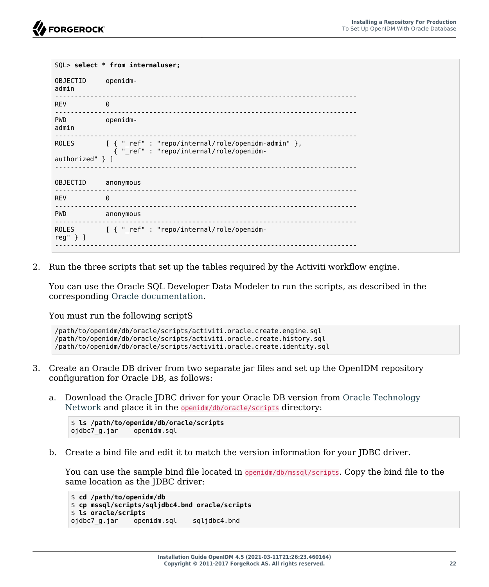```
FORGEROCK
```

```
SQL> select * from internaluser;
OBJECTID openidm-
admin
-----------------------------------------------------------------------------
REV 0
                            -----------------------------------------------------------------------------
PWD openidm-
admin
-----------------------------------------------------------------------------
ROLES [ { " ref" : "repo/internal/role/openidm-admin" },
                { "_ref" : "repo/internal/role/openidm-
authorized" } ]
-----------------------------------------------------------------------------
OBJECTID anonymous
-----------------------------------------------------------------------------
REV-----------------<br>PWD anon
      anonymous
-----------------------------------------------------------------------------
           [ { "_ref" : "repo/internal/role/openidm-
reg" } ]
     -----------------------------------------------------------------------------
```
2. Run the three scripts that set up the tables required by the Activiti workflow engine.

You can use the Oracle SQL Developer Data Modeler to run the scripts, as described in the corresponding [Oracle documentation](http://www.oracle.com/webfolder/technetwork/tutorials/obe/db/11g/r2/prod/appdev/sqldev/datamodel1moddb/datamodel1moddb_otn.htm).

You must run the following scriptS

```
/path/to/openidm/db/oracle/scripts/activiti.oracle.create.engine.sql
/path/to/openidm/db/oracle/scripts/activiti.oracle.create.history.sql
/path/to/openidm/db/oracle/scripts/activiti.oracle.create.identity.sql
```
- 3. Create an Oracle DB driver from two separate jar files and set up the OpenIDM repository configuration for Oracle DB, as follows:
	- a. Download the Oracle JDBC driver for your Oracle DB version from [Oracle Technology](http://www.oracle.com/technetwork/database/features/jdbc/index-091264.html) [Network](http://www.oracle.com/technetwork/database/features/jdbc/index-091264.html) and place it in the openidm/db/oracle/scripts directory:

```
$ ls /path/to/openidm/db/oracle/scripts
ojdbc7 g.jar
```
b. Create a bind file and edit it to match the version information for your JDBC driver.

You can use the sample bind file located in openidm/db/mssql/scripts. Copy the bind file to the same location as the JDBC driver:

```
$ cd /path/to/openidm/db
$ cp mssql/scripts/sqljdbc4.bnd oracle/scripts
$ ls oracle/scripts
ojdbc7_g.jar openidm.sql sqljdbc4.bnd
```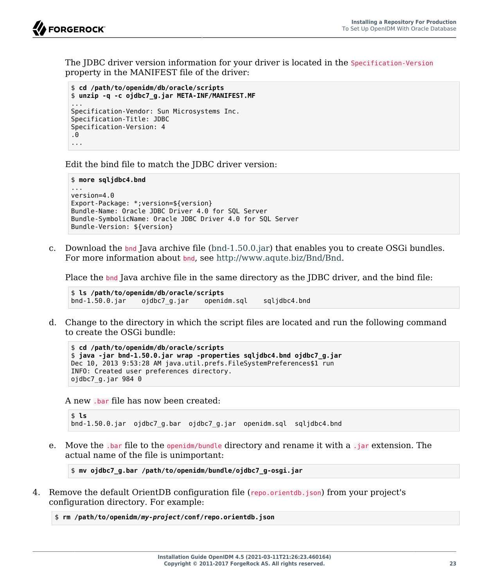The JDBC driver version information for your driver is located in the Specification-Version property in the MANIFEST file of the driver:

```
$ cd /path/to/openidm/db/oracle/scripts
$ unzip -q -c ojdbc7_g.jar META-INF/MANIFEST.MF
...
Specification-Vendor: Sun Microsystems Inc.
Specification-Title: JDBC
Specification-Version: 4
.0
...
```
Edit the bind file to match the JDBC driver version:

```
$ more sqljdbc4.bnd
...
version=4.0
Export-Package: *;version=${version}
Bundle-Name: Oracle JDBC Driver 4.0 for SQL Server
Bundle-SymbolicName: Oracle JDBC Driver 4.0 for SQL Server
Bundle-Version: ${version}
```
c. Download the bnd Java archive file [\(bnd-1.50.0.jar\)](https://repo1.maven.org/maven2/biz/aQute/bnd/1.50.0/bnd-1.50.0.jar) that enables you to create OSGi bundles. For more information about bnd, see<http://www.aqute.biz/Bnd/Bnd>.

Place the bnd Java archive file in the same directory as the JDBC driver, and the bind file:

\$ **ls /path/to/openidm/db/oracle/scripts** bnd-1.50.0.jar ojdbc7\_g.jar openidm.sql sqljdbc4.bnd

d. Change to the directory in which the script files are located and run the following command to create the OSGi bundle:

```
$ cd /path/to/openidm/db/oracle/scripts
$ java -jar bnd-1.50.0.jar wrap -properties sqljdbc4.bnd ojdbc7_g.jar
Dec 10, 2013 9:53:28 AM java.util.prefs.FileSystemPreferences$1 run
INFO: Created user preferences directory.
ojdbc7_g.jar 984 0
```
A new .bar file has now been created:

\$ **ls** bnd-1.50.0.jar ojdbc7\_g.bar ojdbc7\_g.jar openidm.sql sqljdbc4.bnd

e. Move the .bar file to the openidm/bundle directory and rename it with a .jar extension. The actual name of the file is unimportant:

\$ **mv ojdbc7\_g.bar /path/to/openidm/bundle/ojdbc7\_g-osgi.jar**

4. Remove the default OrientDB configuration file (repo.orientdb.json) from your project's configuration directory. For example:

\$ **rm /path/to/openidm/***my-project***/conf/repo.orientdb.json**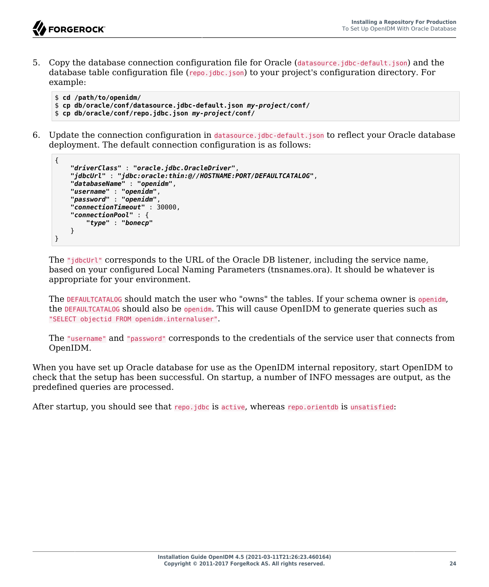

5. Copy the database connection configuration file for Oracle (datasource.jdbc-default.json) and the database table configuration file (repo.jdbc.json) to your project's configuration directory. For example:

```
$ cd /path/to/openidm/
$ cp db/oracle/conf/datasource.jdbc-default.json my-project/conf/
$ cp db/oracle/conf/repo.jdbc.json my-project/conf/
```
6. Update the connection configuration in datasource.jdbc-default.json to reflect your Oracle database deployment. The default connection configuration is as follows:

```
{
     "driverClass" : "oracle.jdbc.OracleDriver",
     "jdbcUrl" : "jdbc:oracle:thin:@//HOSTNAME:PORT/DEFAULTCATALOG",
     "databaseName" : "openidm",
     "username" : "openidm",
     "password" : "openidm",
     "connectionTimeout" : 30000,
     "connectionPool" : {
         "type" : "bonecp"
     }
}
```
The "jdbcUrl" corresponds to the URL of the Oracle DB listener, including the service name, based on your configured Local Naming Parameters (tnsnames.ora). It should be whatever is appropriate for your environment.

The DEFAULTCATALOG should match the user who "owns" the tables. If your schema owner is openidm, the DEFAULTCATALOG should also be openidm. This will cause OpenIDM to generate queries such as "SELECT objectid FROM openidm.internaluser".

The "username" and "password" corresponds to the credentials of the service user that connects from OpenIDM.

When you have set up Oracle database for use as the OpenIDM internal repository, start OpenIDM to check that the setup has been successful. On startup, a number of INFO messages are output, as the predefined queries are processed.

After startup, you should see that repo.jdbc is active, whereas repo.orientdb is unsatisfied: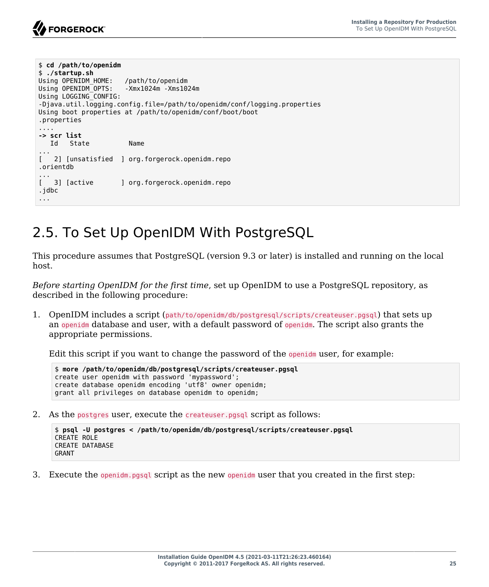

```
$ cd /path/to/openidm
$ ./startup.sh
Using OPENIDM_HOME: /path/to/openidm<br>Using OPENIDM_OPTS: -Xmx1024m -Xms1024m
Using OPENIDM OPTS:
Using LOGGING_CONFIG:
-Djava.util.logging.config.file=/path/to/openidm/conf/logging.properties
Using boot properties at /path/to/openidm/conf/boot/boot
.properties
....
-> scr list
   Id State Name
...
[ 2] [unsatisfied ] org.forgerock.openidm.repo
.orientdb
[3] [active]] org.forgerock.openidm.repo
.jdbc
...
```
## <span id="page-29-0"></span>2.5. To Set Up OpenIDM With PostgreSQL

This procedure assumes that PostgreSQL (version 9.3 or later) is installed and running on the local host.

*Before starting OpenIDM for the first time*, set up OpenIDM to use a PostgreSQL repository, as described in the following procedure:

1. OpenIDM includes a script (path/to/openidm/db/postgresql/scripts/createuser.pgsql) that sets up an openidm database and user, with a default password of openidm. The script also grants the appropriate permissions.

Edit this script if you want to change the password of the openidm user, for example:

```
$ more /path/to/openidm/db/postgresql/scripts/createuser.pgsql
create user openidm with password 'mypassword';
create database openidm encoding 'utf8' owner openidm;
grant all privileges on database openidm to openidm;
```
2. As the postgres user, execute the createuser.pgsql script as follows:

```
$ psql -U postgres < /path/to/openidm/db/postgresql/scripts/createuser.pgsql
CREATE ROLE
CREATE DATABASE
GRANT
```
3. Execute the openidm.pgsql script as the new openidm user that you created in the first step: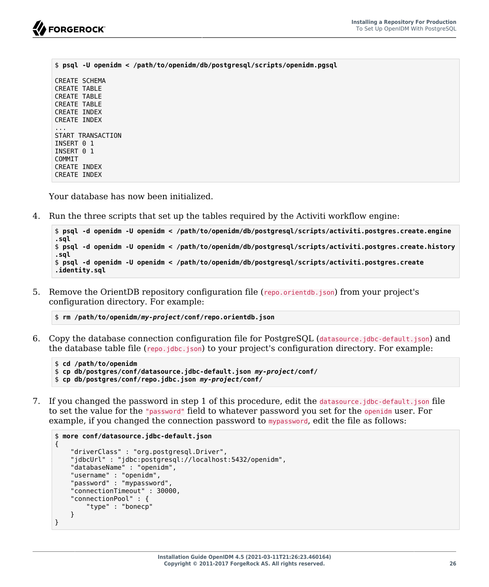

```
$ psql -U openidm < /path/to/openidm/db/postgresql/scripts/openidm.pgsql
CREATE SCHEMA
CREATE TABLE
CREATE TABLE
CREATE TABLE
CREATE INDEX
CREATE INDEX
...
START TRANSACTION
INSERT 0 1
INSERT 0 1
COMMIT
CREATE INDEX
CREATE INDEX
```
Your database has now been initialized.

4. Run the three scripts that set up the tables required by the Activiti workflow engine:

```
$ psql -d openidm -U openidm < /path/to/openidm/db/postgresql/scripts/activiti.postgres.create.engine
.sql
$ psql -d openidm -U openidm < /path/to/openidm/db/postgresql/scripts/activiti.postgres.create.history
.sql
$ psql -d openidm -U openidm < /path/to/openidm/db/postgresql/scripts/activiti.postgres.create
.identity.sql
```
5. Remove the OrientDB repository configuration file (repo.orientdb.json) from your project's configuration directory. For example:

```
$ rm /path/to/openidm/my-project/conf/repo.orientdb.json
```
6. Copy the database connection configuration file for PostgreSQL (datasource.jdbc-default.json) and the database table file  $(repo.jdbc.json)$  to your project's configuration directory. For example:

```
$ cd /path/to/openidm
$ cp db/postgres/conf/datasource.jdbc-default.json my-project/conf/
$ cp db/postgres/conf/repo.jdbc.json my-project/conf/
```
7. If you changed the password in step 1 of this procedure, edit the datasource.jdbc-default.json file to set the value for the "password" field to whatever password you set for the openidm user. For example, if you changed the connection password to mypassword, edit the file as follows:

```
$ more conf/datasource.jdbc-default.json
{
     "driverClass" : "org.postgresql.Driver",
     "jdbcUrl" : "jdbc:postgresql://localhost:5432/openidm",
     "databaseName" : "openidm",
     "username" : "openidm",
     "password" : "mypassword",
     "connectionTimeout" : 30000,
     "connectionPool" : {
         "type" : "bonecp"
     }
}
```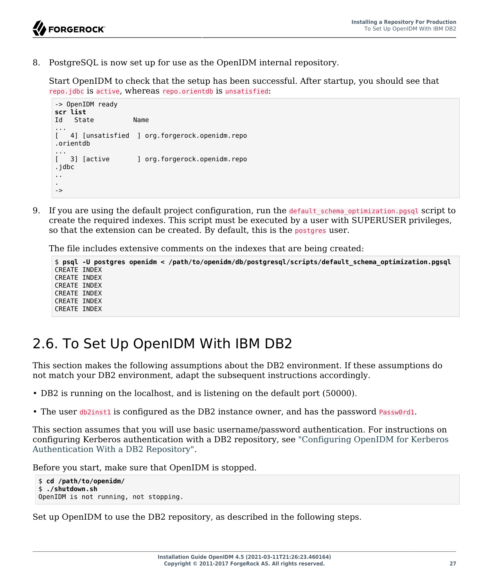8. PostgreSQL is now set up for use as the OpenIDM internal repository.

Start OpenIDM to check that the setup has been successful. After startup, you should see that repo.jdbc is active, whereas repo.orientdb is unsatisfied:

```
-> OpenIDM ready
scr list
   State Name
...
[ 4] [unsatisfied ] org.forgerock.openidm.repo
.orientdb
...
[ 3] [active ] org.forgerock.openidm.repo
.jdbc
..
.
->
```
9. If you are using the default project configuration, run the default schema optimization.pgsql script to create the required indexes. This script must be executed by a user with SUPERUSER privileges, so that the extension can be created. By default, this is the postgres user.

The file includes extensive comments on the indexes that are being created:

```
$ psql -U postgres openidm < /path/to/openidm/db/postgresql/scripts/default_schema_optimization.pgsql
CREATE INDEX
CREATE INDEX
CREATE INDEX
CREATE INDEX
CREATE INDEX
CREATE INDEX
```
# <span id="page-31-0"></span>2.6. To Set Up OpenIDM With IBM DB2

This section makes the following assumptions about the DB2 environment. If these assumptions do not match your DB2 environment, adapt the subsequent instructions accordingly.

- DB2 is running on the localhost, and is listening on the default port (50000).
- The user db2inst1 is configured as the DB2 instance owner, and has the password Passw0rd1.

This section assumes that you will use basic username/password authentication. For instructions on configuring Kerberos authentication with a DB2 repository, see ["Configuring OpenIDM for Kerberos](#page-35-0) [Authentication With a DB2 Repository".](#page-35-0)

Before you start, make sure that OpenIDM is stopped.

```
$ cd /path/to/openidm/
$ ./shutdown.sh
OpenIDM is not running, not stopping.
```
Set up OpenIDM to use the DB2 repository, as described in the following steps.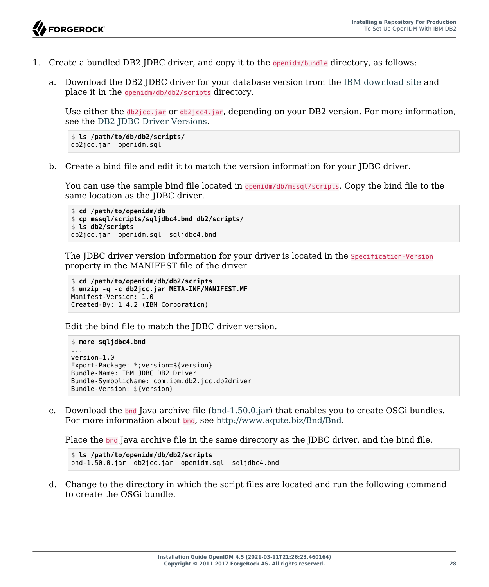- 1. Create a bundled DB2 JDBC driver, and copy it to the openidm/bundle directory, as follows:
	- a. Download the DB2 JDBC driver for your database version from the [IBM download site](http://www-01.ibm.com/support/docview.wss?uid=swg21363866) and place it in the openidm/db/db2/scripts directory.

Use either the db2jcc.jar or db2jcc4.jar, depending on your DB2 version. For more information, see the [DB2 JDBC Driver Versions.](http://www-01.ibm.com/support/docview.wss?uid=swg21363866)

```
$ ls /path/to/db/db2/scripts/
db2jcc.jar openidm.sql
```
b. Create a bind file and edit it to match the version information for your JDBC driver.

You can use the sample bind file located in openidm/db/mssql/scripts. Copy the bind file to the same location as the JDBC driver.

```
$ cd /path/to/openidm/db
$ cp mssql/scripts/sqljdbc4.bnd db2/scripts/
$ ls db2/scripts
db2jcc.jar openidm.sql sqljdbc4.bnd
```
The JDBC driver version information for your driver is located in the Specification-Version property in the MANIFEST file of the driver.

```
$ cd /path/to/openidm/db/db2/scripts
$ unzip -q -c db2jcc.jar META-INF/MANIFEST.MF
Manifest-Version: 1.0
Created-By: 1.4.2 (IBM Corporation)
```
Edit the bind file to match the JDBC driver version.

```
$ more sqljdbc4.bnd
...
version=1.0
Export-Package: *;version=${version}
Bundle-Name: IBM JDBC DB2 Driver
Bundle-SymbolicName: com.ibm.db2.jcc.db2driver
Bundle-Version: ${version}
```
c. Download the bnd Java archive file [\(bnd-1.50.0.jar\)](https://repo1.maven.org/maven2/biz/aQute/bnd/1.50.0/bnd-1.50.0.jar) that enables you to create OSGi bundles. For more information about bnd, see<http://www.aqute.biz/Bnd/Bnd>.

Place the bnd Java archive file in the same directory as the JDBC driver, and the bind file.

```
$ ls /path/to/openidm/db/db2/scripts
bnd-1.50.0.jar db2jcc.jar openidm.sql sqljdbc4.bnd
```
d. Change to the directory in which the script files are located and run the following command to create the OSGi bundle.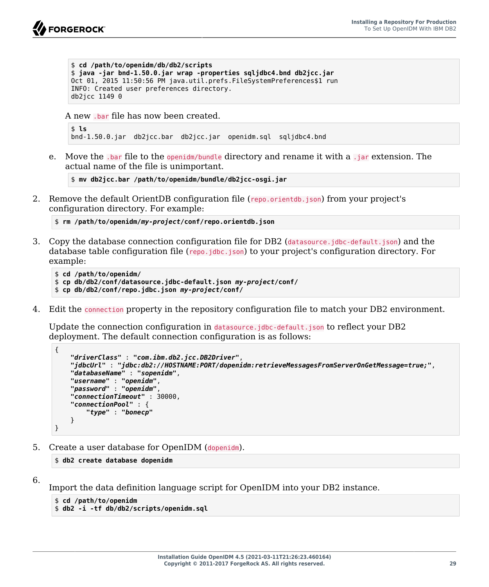```
$ cd /path/to/openidm/db/db2/scripts
$ java -jar bnd-1.50.0.jar wrap -properties sqljdbc4.bnd db2jcc.jar
Oct 01, 2015 11:50:56 PM java.util.prefs.FileSystemPreferences$1 run
INFO: Created user preferences directory.
db2jcc 1149 0
```
A new .bar file has now been created.

```
$ ls
bnd-1.50.0.jar db2jcc.bar db2jcc.jar openidm.sql sqljdbc4.bnd
```
e. Move the .bar file to the openidm/bundle directory and rename it with a .jar extension. The actual name of the file is unimportant.

```
$ mv db2jcc.bar /path/to/openidm/bundle/db2jcc-osgi.jar
```
2. Remove the default OrientDB configuration file (repo.orientdb.json) from your project's configuration directory. For example:

\$ **rm /path/to/openidm/***my-project***/conf/repo.orientdb.json**

3. Copy the database connection configuration file for DB2 (datasource.jdbc-default.json) and the database table configuration file (repo.  $\mathsf{idbc}$ ,  $\mathsf{ison}$ ) to your project's configuration directory. For example:

```
$ cd /path/to/openidm/
$ cp db/db2/conf/datasource.jdbc-default.json my-project/conf/
$ cp db/db2/conf/repo.jdbc.json my-project/conf/
```
4. Edit the connection property in the repository configuration file to match your DB2 environment.

Update the connection configuration in datasource.jdbc-default.json to reflect your DB2 deployment. The default connection configuration is as follows:

```
{
     "driverClass" : "com.ibm.db2.jcc.DB2Driver",
     "jdbcUrl" : "jdbc:db2://HOSTNAME:PORT/dopenidm:retrieveMessagesFromServerOnGetMessage=true;",
     "databaseName" : "sopenidm",
     "username" : "openidm",
     "password" : "openidm",
     "connectionTimeout" : 30000,
     "connectionPool" : {
         "type" : "bonecp"
     }
}
```
5. Create a user database for OpenIDM (dopenidm).

```
$ db2 create database dopenidm
```

```
6.
```
Import the data definition language script for OpenIDM into your DB2 instance.

```
$ cd /path/to/openidm
$ db2 -i -tf db/db2/scripts/openidm.sql
```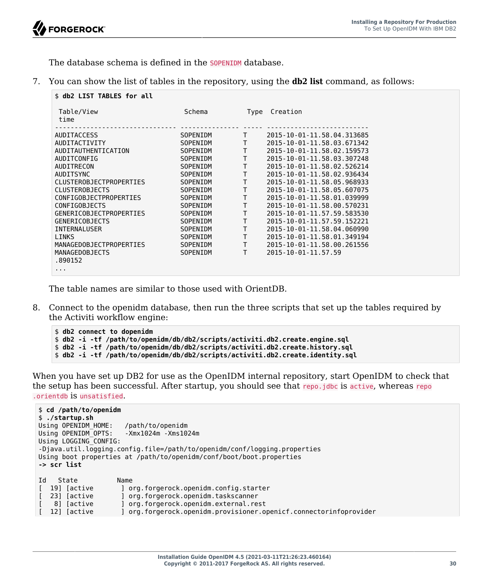The database schema is defined in the **SOPENIDM** database.

7. You can show the list of tables in the repository, using the **db2 list** command, as follows:

| \$ db2 LIST TABLES for all       |          |              |                            |
|----------------------------------|----------|--------------|----------------------------|
| Table/View<br>time               | Schema   | Type         | Creation                   |
| <b>AUDITACCESS</b>               | SOPENIDM | $\mathbf{T}$ | 2015-10-01-11.58.04.313685 |
| AUDITACTIVITY                    | SOPENIDM | $\mathsf{T}$ | 2015-10-01-11.58.03.671342 |
| AUDITAUTHENTICATION              | SOPENIDM | $\mathsf{T}$ | 2015-10-01-11.58.02.159573 |
| AUDITCONFIG                      | SOPENIDM | T            | 2015-10-01-11.58.03.307248 |
| AUDITRECON                       | SOPENIDM | $\mathsf{T}$ | 2015-10-01-11.58.02.526214 |
| <b>AUDITSYNC</b>                 | SOPENIDM | T            | 2015-10-01-11.58.02.936434 |
| CLUSTEROBJECTPROPERTIES          | SOPENIDM | T            | 2015-10-01-11.58.05.968933 |
| <b>CLUSTEROBJECTS</b>            | SOPENIDM | $\mathsf{T}$ | 2015-10-01-11.58.05.607075 |
| CONFIGOBJECTPROPERTIES           | SOPENIDM | T            | 2015-10-01-11.58.01.039999 |
| CONFIGOBJECTS                    | SOPENIDM | T            | 2015-10-01-11.58.00.570231 |
| GENERICOBJECTPROPERTIES          | SOPENIDM | $\mathsf{T}$ | 2015-10-01-11.57.59.583530 |
| <b>GENERICOBJECTS</b>            | SOPENIDM | T            | 2015-10-01-11.57.59.152221 |
| INTERNALUSER                     | SOPENIDM | T            | 2015-10-01-11.58.04.060990 |
| <b>LINKS</b>                     | SOPENIDM | $\mathsf{T}$ | 2015-10-01-11.58.01.349194 |
| <b>MANAGEDOBJECTPROPERTIES</b>   | SOPENIDM | $\mathsf{T}$ | 2015-10-01-11.58.00.261556 |
| <b>MANAGEDOBJECTS</b><br>.890152 | SOPENIDM | T.           | 2015-10-01-11.57.59        |
| $\cdots$                         |          |              |                            |

The table names are similar to those used with OrientDB.

8. Connect to the openidm database, then run the three scripts that set up the tables required by the Activiti workflow engine:

```
$ db2 connect to dopenidm
$ db2 -i -tf /path/to/openidm/db/db2/scripts/activiti.db2.create.engine.sql
$ db2 -i -tf /path/to/openidm/db/db2/scripts/activiti.db2.create.history.sql
$ db2 -i -tf /path/to/openidm/db/db2/scripts/activiti.db2.create.identity.sql
```
When you have set up DB2 for use as the OpenIDM internal repository, start OpenIDM to check that the setup has been successful. After startup, you should see that repo. jdbc is active, whereas repo .orientdb is unsatisfied.

```
$ cd /path/to/openidm
$ ./startup.sh
Using OPENIDM HOME: /path/to/openidm
Using OPENIDM OPTS: -Xmx1024m -Xms1024m
Using LOGGING_CONFIG:
-Djava.util.logging.config.file=/path/to/openidm/conf/logging.properties
Using boot properties at /path/to/openidm/conf/boot/boot.properties
-> scr list
Id State Name<br>[ 19] [active ] o
                    ] org.forgerock.openidm.config.starter
[ 23] [active ] org.forgerock.openidm.taskscanner
[ 8] [active ] org.forgerock.openidm.external.rest
[ 12] [active ] org.forgerock.openidm.provisioner.openicf.connectorinfoprovider
```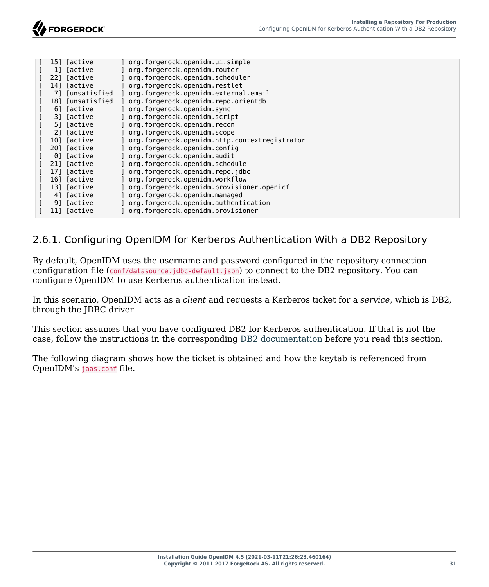| 151 | Tactive         | org.forgerock.openidm.ui.simple               |
|-----|-----------------|-----------------------------------------------|
| 11  | [active         | org.forgerock.openidm.router                  |
| 221 | [active         | org.forgerock.openidm.scheduler               |
| 14] | [active         | org.forgerock.openidm.restlet                 |
| 71  | [unsatisfied    | org.forgerock.openidm.external.email          |
| 181 | [unsatisfied    | org.forgerock.openidm.repo.orientdb           |
| 61  | <i>l</i> active | org.forgerock.openidm.sync                    |
| 31  | <i>l</i> active | org.forgerock.openidm.script                  |
| 51  | <i>l</i> active | org.forgerock.openidm.recon                   |
| 21  | <i>l</i> active | org.forgerock.openidm.scope                   |
| 101 | [active         | org.forgerock.openidm.http.contextregistrator |
| 201 | Tactive         | org.forgerock.openidm.config                  |
| 01  | [active         | org.forgerock.openidm.audit                   |
| 211 | [active         | org.forgerock.openidm.schedule                |
| 171 | <i>l</i> active | org.forgerock.openidm.repo.jdbc               |
| 16] | [active         | org.forgerock.openidm.workflow                |
| 131 | [active         | org.forgerock.openidm.provisioner.openicf     |
| 41  | [active         | org.forgerock.openidm.managed                 |
| 91  | [active         | org.forgerock.openidm.authentication          |
| 11  | [active         | org.forgerock.openidm.provisioner             |

### <span id="page-35-0"></span>2.6.1. Configuring OpenIDM for Kerberos Authentication With a DB2 Repository

By default, OpenIDM uses the username and password configured in the repository connection configuration file (conf/datasource.jdbc-default.json) to connect to the DB2 repository. You can configure OpenIDM to use Kerberos authentication instead.

In this scenario, OpenIDM acts as a *client* and requests a Kerberos ticket for a *service*, which is DB2, through the JDBC driver.

This section assumes that you have configured DB2 for Kerberos authentication. If that is not the case, follow the instructions in the corresponding [DB2 documentation](https://www-01.ibm.com/support/knowledgecenter/SSEPGG_10.1.0/com.ibm.db2.luw.admin.sec.doc/doc/c0058525.html) before you read this section.

The following diagram shows how the ticket is obtained and how the keytab is referenced from OpenIDM's jaas.conf file.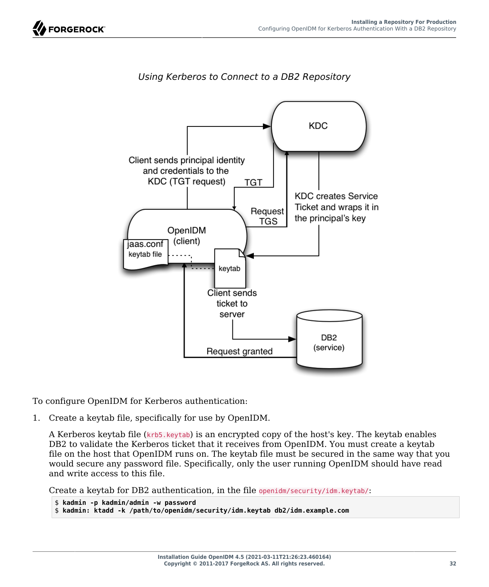**FORGEROCK** 





To configure OpenIDM for Kerberos authentication:

1. Create a keytab file, specifically for use by OpenIDM.

A Kerberos keytab file (krb5.keytab) is an encrypted copy of the host's key. The keytab enables DB2 to validate the Kerberos ticket that it receives from OpenIDM. You must create a keytab file on the host that OpenIDM runs on. The keytab file must be secured in the same way that you would secure any password file. Specifically, only the user running OpenIDM should have read and write access to this file.

Create a keytab for DB2 authentication, in the file openidm/security/idm.keytab/:

```
$ kadmin -p kadmin/admin -w password
```

```
$ kadmin: ktadd -k /path/to/openidm/security/idm.keytab db2/idm.example.com
```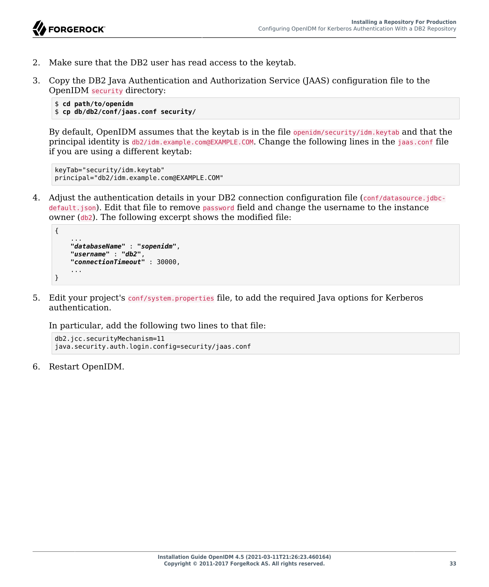

- 2. Make sure that the DB2 user has read access to the keytab.
- 3. Copy the DB2 Java Authentication and Authorization Service (JAAS) configuration file to the OpenIDM security directory:

```
$ cd path/to/openidm
$ cp db/db2/conf/jaas.conf security/
```
By default, OpenIDM assumes that the keytab is in the file openidm/security/idm.keytab and that the principal identity is db2/idm.example.com@EXAMPLE.COM. Change the following lines in the jaas.conf file if you are using a different keytab:

```
keyTab="security/idm.keytab"
principal="db2/idm.example.com@EXAMPLE.COM"
```
4. Adjust the authentication details in your DB2 connection configuration file (conf/datasource.jdbcdefault.json). Edit that file to remove password field and change the username to the instance owner (db2). The following excerpt shows the modified file:

```
 ...
    "databaseName" : "sopenidm",
     "username" : "db2",
     "connectionTimeout" : 30000,
     ...
```
5. Edit your project's conf/system.properties file, to add the required Java options for Kerberos authentication.

In particular, add the following two lines to that file:

```
db2.jcc.securityMechanism=11
java.security.auth.login.config=security/jaas.conf
```
6. Restart OpenIDM.

{

}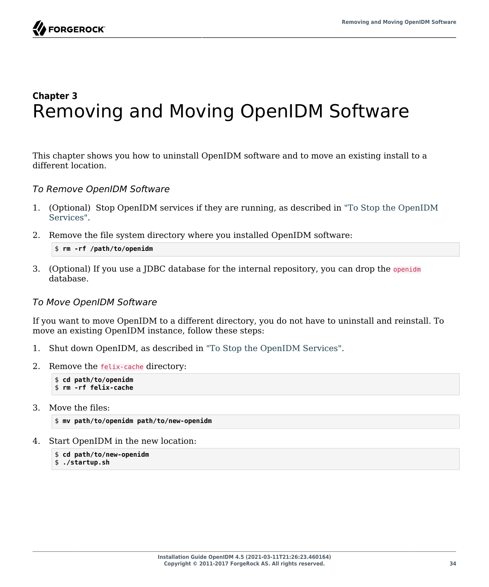

## <span id="page-38-0"></span>**Chapter 3** Removing and Moving OpenIDM Software

<span id="page-38-1"></span>This chapter shows you how to uninstall OpenIDM software and to move an existing install to a different location.

*To Remove OpenIDM Software*

- 1. (Optional) Stop OpenIDM services if they are running, as described in ["To Stop the OpenIDM](#page-9-0) [Services".](#page-9-0)
- 2. Remove the file system directory where you installed OpenIDM software:

```
$ rm -rf /path/to/openidm
```
3. (Optional) If you use a JDBC database for the internal repository, you can drop the openidm database.

#### *To Move OpenIDM Software*

If you want to move OpenIDM to a different directory, you do not have to uninstall and reinstall. To move an existing OpenIDM instance, follow these steps:

- 1. Shut down OpenIDM, as described in ["To Stop the OpenIDM Services"](#page-9-0).
- 2. Remove the felix-cache directory:

\$ **cd path/to/openidm** \$ **rm -rf felix-cache**

3. Move the files:

\$ **mv path/to/openidm path/to/new-openidm**

4. Start OpenIDM in the new location:

```
$ cd path/to/new-openidm
$ ./startup.sh
```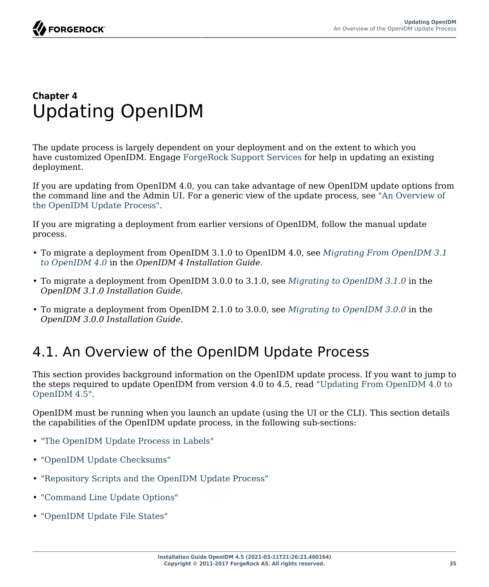FORGEROCK

## <span id="page-39-0"></span>**Chapter 4** Updating OpenIDM

The update process is largely dependent on your deployment and on the extent to which you have customized OpenIDM. Engage [ForgeRock Support Services](https://www.forgerock.com/support/support-services) for help in updating an existing deployment.

If you are updating from OpenIDM 4.0, you can take advantage of new OpenIDM update options from the command line and the Admin UI. For a generic view of the update process, see ["An Overview of](#page-39-1) [the OpenIDM Update Process"](#page-39-1).

If you are migrating a deployment from earlier versions of OpenIDM, follow the manual update process.

- To migrate a deployment from OpenIDM 3.1.0 to OpenIDM 4.0, see *[Migrating From OpenIDM 3.1](../../../openidm/4/install-guide/#migrate-idm-314) [to OpenIDM 4.0](../../../openidm/4/install-guide/#migrate-idm-314)* in the *OpenIDM 4 Installation Guide*.
- To migrate a deployment from OpenIDM 3.0.0 to 3.1.0, see *[Migrating to OpenIDM 3.1.0](../../../openidm/3.1/install-guide/#chap-upgrade)* in the *OpenIDM 3.1.0 Installation Guide*.
- To migrate a deployment from OpenIDM 2.1.0 to 3.0.0, see *[Migrating to OpenIDM 3.0.0](../../../openidm/3/install-guide/#chap-upgrade)* in the *OpenIDM 3.0.0 Installation Guide*.

## <span id="page-39-1"></span>4.1. An Overview of the OpenIDM Update Process

This section provides background information on the OpenIDM update process. If you want to jump to the steps required to update OpenIDM from version 4.0 to 4.5, read ["Updating From OpenIDM 4.0 to](#page-46-0) [OpenIDM 4.5".](#page-46-0)

OpenIDM must be running when you launch an update (using the UI or the CLI). This section details the capabilities of the OpenIDM update process, in the following sub-sections:

- ["The OpenIDM Update Process in Labels"](#page-40-0)
- ["OpenIDM Update Checksums"](#page-40-1)
- ["Repository Scripts and the OpenIDM Update Process"](#page-42-0)
- ["Command Line Update Options"](#page-43-0)
- ["OpenIDM Update File States"](#page-45-0)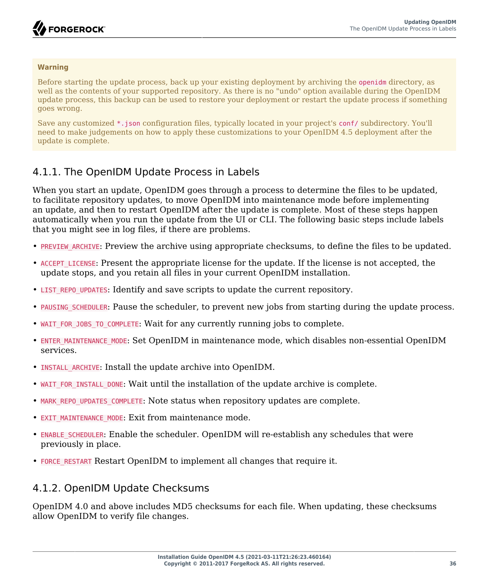#### **Warning**

Before starting the update process, back up your existing deployment by archiving the openidm directory, as well as the contents of your supported repository. As there is no "undo" option available during the OpenIDM update process, this backup can be used to restore your deployment or restart the update process if something goes wrong.

Save any customized \*.json configuration files, typically located in your project's conf/ subdirectory. You'll need to make judgements on how to apply these customizations to your OpenIDM 4.5 deployment after the update is complete.

### <span id="page-40-0"></span>4.1.1. The OpenIDM Update Process in Labels

When you start an update, OpenIDM goes through a process to determine the files to be updated, to facilitate repository updates, to move OpenIDM into maintenance mode before implementing an update, and then to restart OpenIDM after the update is complete. Most of these steps happen automatically when you run the update from the UI or CLI. The following basic steps include labels that you might see in log files, if there are problems.

- PREVIEW ARCHIVE: Preview the archive using appropriate checksums, to define the files to be updated.
- ACCEPT LICENSE: Present the appropriate license for the update. If the license is not accepted, the update stops, and you retain all files in your current OpenIDM installation.
- LIST REPO UPDATES: Identify and save scripts to update the current repository.
- PAUSING SCHEDULER: Pause the scheduler, to prevent new jobs from starting during the update process.
- WAIT FOR JOBS TO COMPLETE: Wait for any currently running jobs to complete.
- ENTER MAINTENANCE MODE: Set OpenIDM in maintenance mode, which disables non-essential OpenIDM services.
- INSTALL ARCHIVE: Install the update archive into OpenIDM.
- WAIT FOR INSTALL DONE: Wait until the installation of the update archive is complete.
- MARK REPO UPDATES COMPLETE: Note status when repository updates are complete.
- EXIT MAINTENANCE MODE: Exit from maintenance mode.
- ENABLE SCHEDULER: Enable the scheduler. OpenIDM will re-establish any schedules that were previously in place.
- <span id="page-40-1"></span>• FORCE RESTART Restart OpenIDM to implement all changes that require it.

### 4.1.2. OpenIDM Update Checksums

OpenIDM 4.0 and above includes MD5 checksums for each file. When updating, these checksums allow OpenIDM to verify file changes.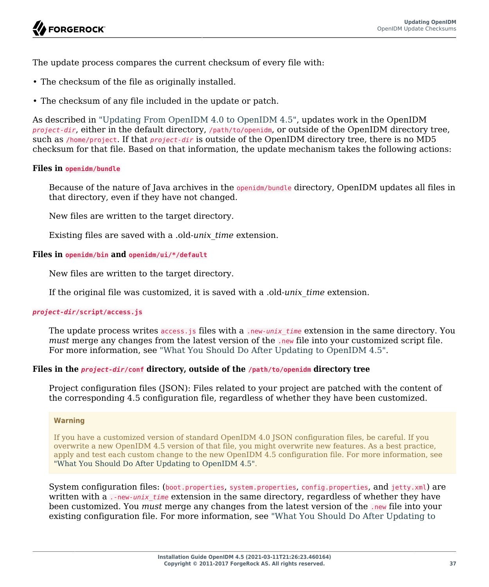The update process compares the current checksum of every file with:

- The checksum of the file as originally installed.
- The checksum of any file included in the update or patch.

As described in ["Updating From OpenIDM 4.0 to OpenIDM 4.5",](#page-46-0) updates work in the OpenIDM *project-dir*, either in the default directory, /path/to/openidm, or outside of the OpenIDM directory tree, such as /home/project. If that *project-dir* is outside of the OpenIDM directory tree, there is no MD5 checksum for that file. Based on that information, the update mechanism takes the following actions:

#### **Files in openidm/bundle**

Because of the nature of Java archives in the openidm/bundle directory, OpenIDM updates all files in that directory, even if they have not changed.

New files are written to the target directory.

Existing files are saved with a .old-*unix\_time* extension.

#### **Files in openidm/bin and openidm/ui/\*/default**

New files are written to the target directory.

If the original file was customized, it is saved with a .old-*unix\_time* extension.

#### *project-dir***/script/access.js**

The update process writes access.js files with a .new-*unix\_time* extension in the same directory. You *must* merge any changes from the latest version of the .new file into your customized script file. For more information, see ["What You Should Do After Updating to OpenIDM 4.5"](#page-56-0).

#### **Files in the** *project-dir***/conf directory, outside of the /path/to/openidm directory tree**

Project configuration files (JSON): Files related to your project are patched with the content of the corresponding 4.5 configuration file, regardless of whether they have been customized.

#### **Warning**

If you have a customized version of standard OpenIDM 4.0 JSON configuration files, be careful. If you overwrite a new OpenIDM 4.5 version of that file, you might overwrite new features. As a best practice, apply and test each custom change to the new OpenIDM 4.5 configuration file. For more information, see ["What You Should Do After Updating to OpenIDM 4.5".](#page-56-0)

System configuration files: (boot.properties, system.properties, config.properties, and jetty.xml) are written with a .-new-*unix* time extension in the same directory, regardless of whether they have been customized. You *must* merge any changes from the latest version of the .new file into your existing configuration file. For more information, see ["What You Should Do After Updating to](#page-56-0)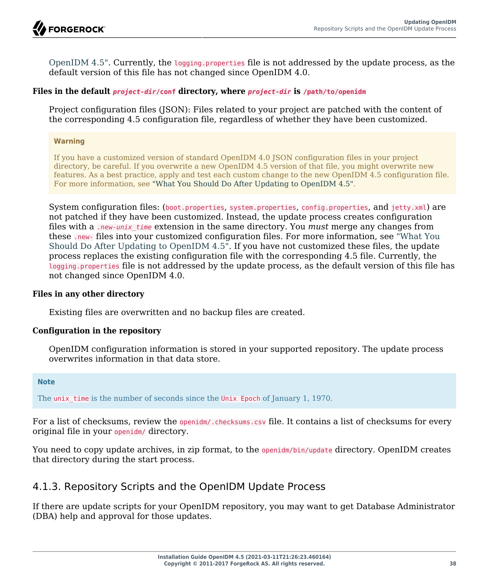[OpenIDM 4.5".](#page-56-0) Currently, the logging.properties file is not addressed by the update process, as the default version of this file has not changed since OpenIDM 4.0.

#### **Files in the default** *project-dir***/conf directory, where** *project-dir* **is /path/to/openidm**

Project configuration files (JSON): Files related to your project are patched with the content of the corresponding 4.5 configuration file, regardless of whether they have been customized.

#### **Warning**

If you have a customized version of standard OpenIDM 4.0 JSON configuration files in your project directory, be careful. If you overwrite a new OpenIDM 4.5 version of that file, you might overwrite new features. As a best practice, apply and test each custom change to the new OpenIDM 4.5 configuration file. For more information, see ["What You Should Do After Updating to OpenIDM 4.5"](#page-56-0).

System configuration files: (boot.properties, system.properties, config.properties, and jetty.xml) are not patched if they have been customized. Instead, the update process creates configuration files with a .new-*unix\_time* extension in the same directory. You *must* merge any changes from these .new- files into your customized configuration files. For more information, see ["What You](#page-56-0) [Should Do After Updating to OpenIDM 4.5".](#page-56-0) If you have not customized these files, the update process replaces the existing configuration file with the corresponding 4.5 file. Currently, the logging.properties file is not addressed by the update process, as the default version of this file has not changed since OpenIDM 4.0.

#### **Files in any other directory**

Existing files are overwritten and no backup files are created.

#### **Configuration in the repository**

OpenIDM configuration information is stored in your supported repository. The update process overwrites information in that data store.

#### **Note**

The unix time is the number of seconds since the Unix Epoch of January 1, 1970.

For a list of checksums, review the openidm/.checksums.csv file. It contains a list of checksums for every original file in your openidm/ directory.

You need to copy update archives, in zip format, to the openidm/bin/update directory. OpenIDM creates that directory during the start process.

### <span id="page-42-0"></span>4.1.3. Repository Scripts and the OpenIDM Update Process

If there are update scripts for your OpenIDM repository, you may want to get Database Administrator (DBA) help and approval for those updates.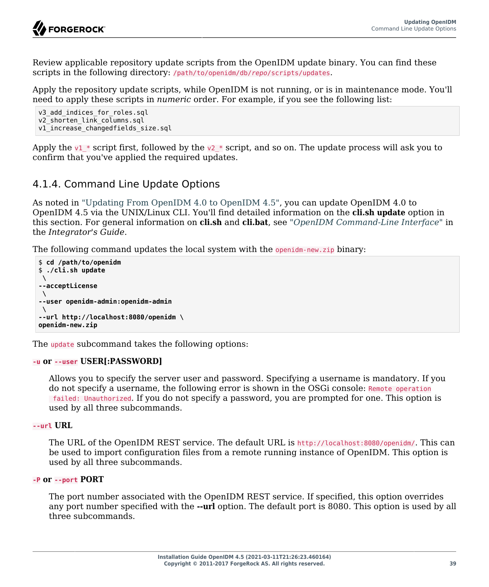Review applicable repository update scripts from the OpenIDM update binary. You can find these scripts in the following directory: /path/to/openidm/db/*repo*/scripts/updates.

Apply the repository update scripts, while OpenIDM is not running, or is in maintenance mode. You'll need to apply these scripts in *numeric* order. For example, if you see the following list:

```
v3 add indices for roles.sql
v2_shorten_link_columns.sql
v1 increase changedfields size.sql
```
Apply the v1 \* script first, followed by the v<sub>2</sub> \* script, and so on. The update process will ask you to confirm that you've applied the required updates.

### <span id="page-43-0"></span>4.1.4. Command Line Update Options

As noted in ["Updating From OpenIDM 4.0 to OpenIDM 4.5",](#page-46-0) you can update OpenIDM 4.0 to OpenIDM 4.5 via the UNIX/Linux CLI. You'll find detailed information on the **cli.sh update** option in this section. For general information on **cli.sh** and **cli.bat**, see "*OpenIDM Command-Line Interface*" in the *Integrator's Guide*.

The following command updates the local system with the openidm-new.zip binary:

```
$ cd /path/to/openidm
$ ./cli.sh update
  \
--acceptLicense
  \
--user openidm-admin:openidm-admin
 \
--url http://localhost:8080/openidm \
openidm-new.zip
```
The update subcommand takes the following options:

#### **-u or --user USER[:PASSWORD]**

Allows you to specify the server user and password. Specifying a username is mandatory. If you do not specify a username, the following error is shown in the OSGi console: Remote operation failed: Unauthorized. If you do not specify a password, you are prompted for one. This option is used by all three subcommands.

#### **--url URL**

The URL of the OpenIDM REST service. The default URL is http://localhost:8080/openidm/. This can be used to import configuration files from a remote running instance of OpenIDM. This option is used by all three subcommands.

#### **-P or --port PORT**

The port number associated with the OpenIDM REST service. If specified, this option overrides any port number specified with the **--url** option. The default port is 8080. This option is used by all three subcommands.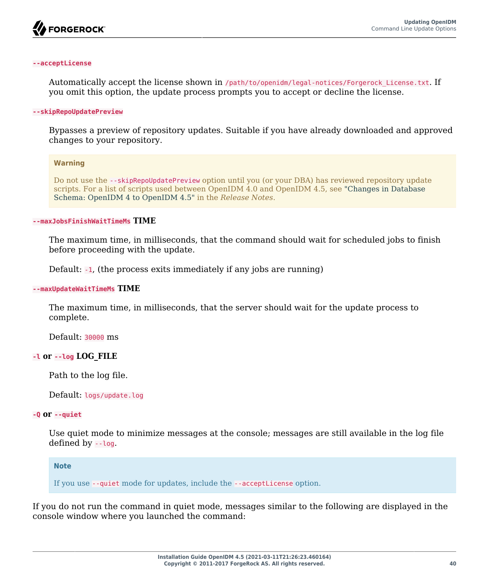

#### **--acceptLicense**

Automatically accept the license shown in /path/to/openidm/legal-notices/Forgerock\_License.txt. If you omit this option, the update process prompts you to accept or decline the license.

#### **--skipRepoUpdatePreview**

Bypasses a preview of repository updates. Suitable if you have already downloaded and approved changes to your repository.

#### **Warning**

Do not use the --skipRepoUpdatePreview option until you (or your DBA) has reviewed repository update scripts. For a list of scripts used between OpenIDM 4.0 and OpenIDM 4.5, see "Changes in Database Schema: OpenIDM 4 to OpenIDM 4.5" in the *Release Notes*.

#### **--maxJobsFinishWaitTimeMs TIME**

The maximum time, in milliseconds, that the command should wait for scheduled jobs to finish before proceeding with the update.

Default: -1, (the process exits immediately if any jobs are running)

#### **--maxUpdateWaitTimeMs TIME**

The maximum time, in milliseconds, that the server should wait for the update process to complete.

Default: 30000 ms

#### **-l or --log LOG\_FILE**

Path to the log file.

Default: logs/update.log

#### **-Q or --quiet**

Use quiet mode to minimize messages at the console; messages are still available in the log file defined by --log.

#### **Note**

If you use --quiet mode for updates, include the --acceptLicense option.

If you do not run the command in quiet mode, messages similar to the following are displayed in the console window where you launched the command: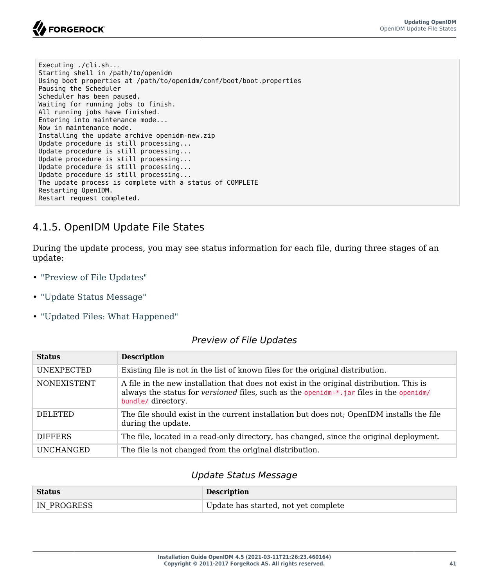

Executing ./cli.sh... Starting shell in /path/to/openidm Using boot properties at /path/to/openidm/conf/boot/boot.properties Pausing the Scheduler Scheduler has been paused. Waiting for running jobs to finish. All running jobs have finished. Entering into maintenance mode... Now in maintenance mode. Installing the update archive openidm-new.zip Update procedure is still processing... Update procedure is still processing... Update procedure is still processing... Update procedure is still processing... Update procedure is still processing... The update process is complete with a status of COMPLETE Restarting OpenIDM. Restart request completed.

### <span id="page-45-0"></span>4.1.5. OpenIDM Update File States

During the update process, you may see status information for each file, during three stages of an update:

- ["Preview of File Updates"](#page-45-1)
- ["Update Status Message"](#page-45-2)
- <span id="page-45-1"></span>• ["Updated Files: What Happened"](#page-46-1)

#### *Preview of File Updates*

<span id="page-45-3"></span>

| <b>Status</b>      | <b>Description</b>                                                                                                                                                                                      |
|--------------------|---------------------------------------------------------------------------------------------------------------------------------------------------------------------------------------------------------|
| <b>UNEXPECTED</b>  | Existing file is not in the list of known files for the original distribution.                                                                                                                          |
| <b>NONEXISTENT</b> | A file in the new installation that does not exist in the original distribution. This is<br>always the status for versioned files, such as the openium-*.jar files in the openium/<br>bundle/directory. |
| <b>DELETED</b>     | The file should exist in the current installation but does not; OpenIDM installs the file<br>during the update.                                                                                         |
| <b>DIFFERS</b>     | The file, located in a read-only directory, has changed, since the original deployment.                                                                                                                 |
| <b>UNCHANGED</b>   | The file is not changed from the original distribution.                                                                                                                                                 |

### *Update Status Message*

<span id="page-45-4"></span><span id="page-45-2"></span>

| <b>Status</b> | <b>Description</b>                   |
|---------------|--------------------------------------|
| IN PROGRESS   | Update has started, not yet complete |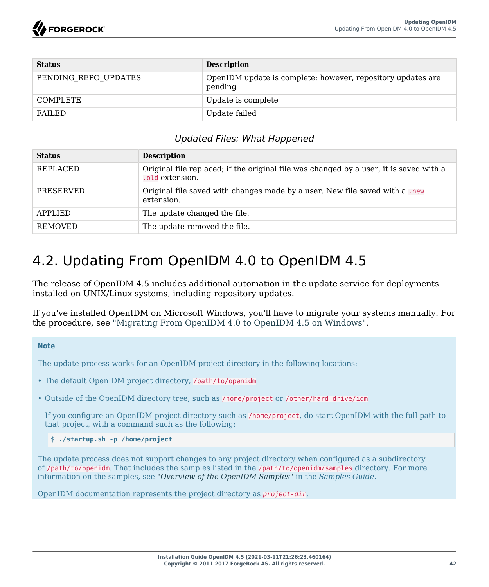| <b>Status</b>        | <b>Description</b>                                                     |
|----------------------|------------------------------------------------------------------------|
| PENDING REPO UPDATES | OpenIDM update is complete; however, repository updates are<br>pending |
| COMPLETE             | Update is complete                                                     |
| FAILED.              | Update failed                                                          |

### *Updated Files: What Happened*

<span id="page-46-2"></span><span id="page-46-1"></span>

| <b>Status</b>  | <b>Description</b>                                                                                       |
|----------------|----------------------------------------------------------------------------------------------------------|
| REPLACED       | Original file replaced; if the original file was changed by a user, it is saved with a<br>old extension. |
| PRESERVED      | Original file saved with changes made by a user. New file saved with a .new<br>extension.                |
| <b>APPLIED</b> | The update changed the file.                                                                             |
| <b>REMOVED</b> | The update removed the file.                                                                             |

# <span id="page-46-0"></span>4.2. Updating From OpenIDM 4.0 to OpenIDM 4.5

The release of OpenIDM 4.5 includes additional automation in the update service for deployments installed on UNIX/Linux systems, including repository updates.

If you've installed OpenIDM on Microsoft Windows, you'll have to migrate your systems manually. For the procedure, see ["Migrating From OpenIDM 4.0 to OpenIDM 4.5 on Windows"](#page-57-0).

#### **Note**

The update process works for an OpenIDM project directory in the following locations:

- The default OpenIDM project directory, /path/to/openidm
- Outside of the OpenIDM directory tree, such as /home/project or /other/hard\_drive/idm

If you configure an OpenIDM project directory such as /home/project, do start OpenIDM with the full path to that project, with a command such as the following:

\$ **./startup.sh -p /home/project**

The update process does not support changes to any project directory when configured as a subdirectory of /path/to/openidm. That includes the samples listed in the /path/to/openidm/samples directory. For more information on the samples, see "*Overview of the OpenIDM Samples*" in the *Samples Guide*.

OpenIDM documentation represents the project directory as *project-dir*.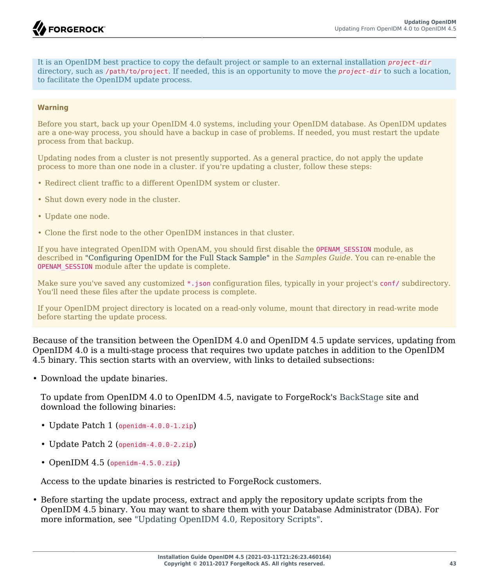It is an OpenIDM best practice to copy the default project or sample to an external installation *project-dir* directory, such as /path/to/project. If needed, this is an opportunity to move the *project-dir* to such a location, to facilitate the OpenIDM update process.

#### **Warning**

Before you start, back up your OpenIDM 4.0 systems, including your OpenIDM database. As OpenIDM updates are a one-way process, you should have a backup in case of problems. If needed, you must restart the update process from that backup.

Updating nodes from a cluster is not presently supported. As a general practice, do not apply the update process to more than one node in a cluster. if you're updating a cluster, follow these steps:

- Redirect client traffic to a different OpenIDM system or cluster.
- Shut down every node in the cluster.
- Update one node.
- Clone the first node to the other OpenIDM instances in that cluster.

If you have integrated OpenIDM with OpenAM, you should first disable the OPENAM\_SESSION module, as described in "Configuring OpenIDM for the Full Stack Sample" in the *Samples Guide*. You can re-enable the OPENAM SESSION module after the update is complete.

Make sure you've saved any customized \*, json configuration files, typically in your project's conf/ subdirectory. You'll need these files after the update process is complete.

If your OpenIDM project directory is located on a read-only volume, mount that directory in read-write mode before starting the update process.

Because of the transition between the OpenIDM 4.0 and OpenIDM 4.5 update services, updating from OpenIDM 4.0 is a multi-stage process that requires two update patches in addition to the OpenIDM 4.5 binary. This section starts with an overview, with links to detailed subsections:

• Download the update binaries.

To update from OpenIDM 4.0 to OpenIDM 4.5, navigate to ForgeRock's [BackStage](https://backstage.forgerock.com/) site and download the following binaries:

- Update Patch 1 (openidm-4.0.0-1.zip)
- Update Patch 2 (openidm-4.0.0-2.zip)
- OpenIDM 4.5 (openidm-4.5.0.zip)

Access to the update binaries is restricted to ForgeRock customers.

• Before starting the update process, extract and apply the repository update scripts from the OpenIDM 4.5 binary. You may want to share them with your Database Administrator (DBA). For more information, see ["Updating OpenIDM 4.0, Repository Scripts".](#page-48-0)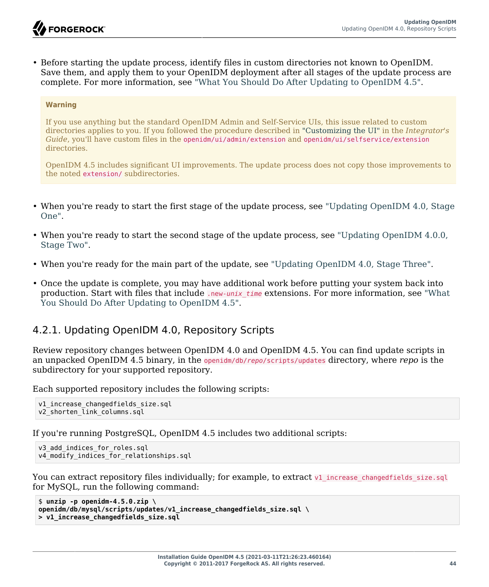• Before starting the update process, identify files in custom directories not known to OpenIDM. Save them, and apply them to your OpenIDM deployment after all stages of the update process are complete. For more information, see ["What You Should Do After Updating to OpenIDM 4.5".](#page-56-0)

#### **Warning**

If you use anything but the standard OpenIDM Admin and Self-Service UIs, this issue related to custom directories applies to you. If you followed the procedure described in "Customizing the UI" in the *Integrator's Guide*, you'll have custom files in the openidm/ui/admin/extension and openidm/ui/selfservice/extension directories.

OpenIDM 4.5 includes significant UI improvements. The update process does not copy those improvements to the noted extension/ subdirectories.

- When you're ready to start the first stage of the update process, see ["Updating OpenIDM 4.0, Stage](#page-49-0) [One".](#page-49-0)
- When you're ready to start the second stage of the update process, see ["Updating OpenIDM 4.0.0,](#page-51-0) [Stage Two"](#page-51-0).
- When you're ready for the main part of the update, see ["Updating OpenIDM 4.0, Stage Three".](#page-53-0)
- Once the update is complete, you may have additional work before putting your system back into production. Start with files that include .new-*unix\_time* extensions. For more information, see ["What](#page-56-0) [You Should Do After Updating to OpenIDM 4.5".](#page-56-0)

### <span id="page-48-0"></span>4.2.1. Updating OpenIDM 4.0, Repository Scripts

Review repository changes between OpenIDM 4.0 and OpenIDM 4.5. You can find update scripts in an unpacked OpenIDM 4.5 binary, in the openidm/db/*repo*/scripts/updates directory, where *repo* is the subdirectory for your supported repository.

Each supported repository includes the following scripts:

```
v1 increase changedfields size.sql
v2_shorten_link_columns.sql
```
If you're running PostgreSQL, OpenIDM 4.5 includes two additional scripts:

```
v3 add indices for roles.sql
v4<sup>modify</sup> indices for relationships.sql
```
You can extract repository files individually; for example, to extract  $v1$  increase changedfields size.sql for MySQL, run the following command:

```
$ unzip -p openidm-4.5.0.zip \
openidm/db/mysql/scripts/updates/v1_increase_changedfields_size.sql \
> v1_increase_changedfields_size.sql
```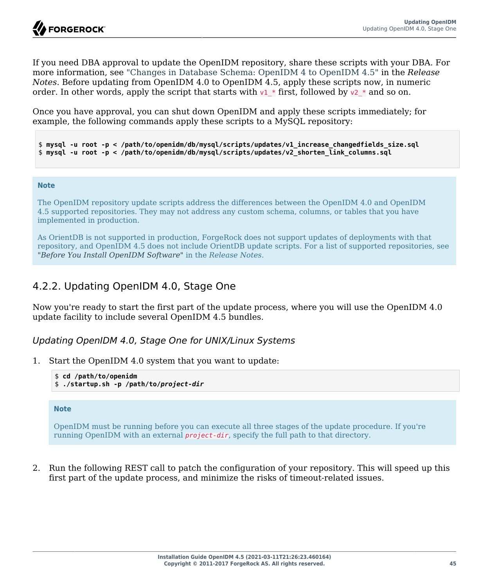If you need DBA approval to update the OpenIDM repository, share these scripts with your DBA. For more information, see "Changes in Database Schema: OpenIDM 4 to OpenIDM 4.5" in the *Release Notes*. Before updating from OpenIDM 4.0 to OpenIDM 4.5, apply these scripts now, in numeric order. In other words, apply the script that starts with  $v1*$  first, followed by  $v2*$  and so on.

Once you have approval, you can shut down OpenIDM and apply these scripts immediately; for example, the following commands apply these scripts to a MySQL repository:

\$ **mysql -u root -p < /path/to/openidm/db/mysql/scripts/updates/v1\_increase\_changedfields\_size.sql** \$ **mysql -u root -p < /path/to/openidm/db/mysql/scripts/updates/v2\_shorten\_link\_columns.sql**

#### **Note**

The OpenIDM repository update scripts address the differences between the OpenIDM 4.0 and OpenIDM 4.5 supported repositories. They may not address any custom schema, columns, or tables that you have implemented in production.

As OrientDB is not supported in production, ForgeRock does not support updates of deployments with that repository, and OpenIDM 4.5 does not include OrientDB update scripts. For a list of supported repositories, see "*Before You Install OpenIDM Software*" in the *Release Notes*.

### <span id="page-49-0"></span>4.2.2. Updating OpenIDM 4.0, Stage One

Now you're ready to start the first part of the update process, where you will use the OpenIDM 4.0 update facility to include several OpenIDM 4.5 bundles.

*Updating OpenIDM 4.0, Stage One for UNIX/Linux Systems*

1. Start the OpenIDM 4.0 system that you want to update:

```
$ cd /path/to/openidm
$ ./startup.sh -p /path/to/project-dir
```
#### **Note**

OpenIDM must be running before you can execute all three stages of the update procedure. If you're running OpenIDM with an external *project-dir*, specify the full path to that directory.

2. Run the following REST call to patch the configuration of your repository. This will speed up this first part of the update process, and minimize the risks of timeout-related issues.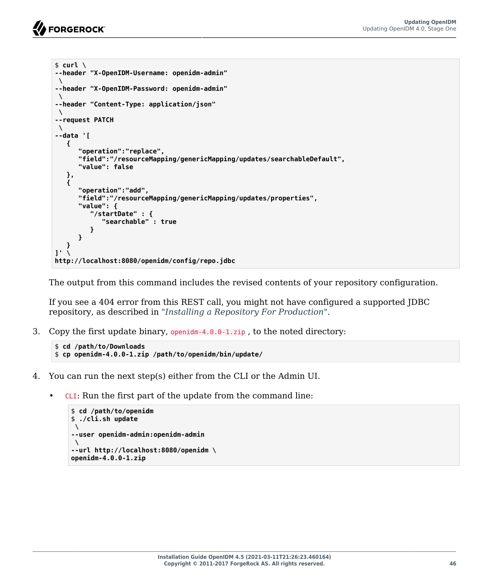```
$ curl \
--header "X-OpenIDM-Username: openidm-admin"
 \
--header "X-OpenIDM-Password: openidm-admin"
 \
--header "Content-Type: application/json"
 \
--request PATCH
 \
--data '[
    {
       "operation":"replace",
       "field":"/resourceMapping/genericMapping/updates/searchableDefault",
       "value": false
    },
 {
       "operation":"add",
       "field":"/resourceMapping/genericMapping/updates/properties",
       "value": {
          "/startDate" : {
             "searchable" : true
          }
       }
   }
]' \
http://localhost:8080/openidm/config/repo.jdbc
```
The output from this command includes the revised contents of your repository configuration.

If you see a 404 error from this REST call, you might not have configured a supported JDBC repository, as described in "*[Installing a Repository For Production](#page-18-0)*".

3. Copy the first update binary, openidm-4.0.0-1.zip, to the noted directory:

```
$ cd /path/to/Downloads
$ cp openidm-4.0.0-1.zip /path/to/openidm/bin/update/
```
- 4. You can run the next step(s) either from the CLI or the Admin UI.
	- CLI: Run the first part of the update from the command line:

```
$ cd /path/to/openidm
$ ./cli.sh update
 \
--user openidm-admin:openidm-admin
 \
--url http://localhost:8080/openidm \
openidm-4.0.0-1.zip
```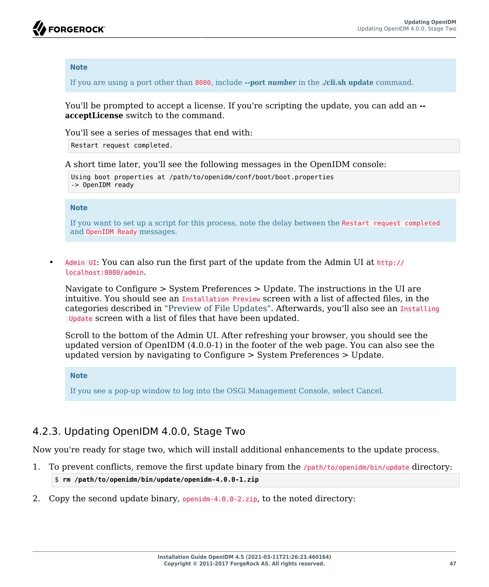#### **Note**

If you are using a port other than 8080, include **--port** *number* in the **./cli.sh update** command.

You'll be prompted to accept a license. If you're scripting the update, you can add an **- acceptLicense** switch to the command.

You'll see a series of messages that end with:

Restart request completed.

A short time later, you'll see the following messages in the OpenIDM console:

```
Using boot properties at /path/to/openidm/conf/boot/boot.properties
-> OpenIDM ready
```
#### **Note**

If you want to set up a script for this process, note the delay between the Restart request completed and OpenIDM Ready messages.

• Admin UI: You can also run the first part of the update from the Admin UI at http:// localhost:8080/admin.

Navigate to Configure > System Preferences > Update. The instructions in the UI are intuitive. You should see an Installation Preview screen with a list of affected files, in the categories described in ["Preview of File Updates"](#page-45-1). Afterwards, you'll also see an Installing Update screen with a list of files that have been updated.

Scroll to the bottom of the Admin UI. After refreshing your browser, you should see the updated version of OpenIDM (4.0.0-1) in the footer of the web page. You can also see the updated version by navigating to Configure > System Preferences > Update.

**Note**

If you see a pop-up window to log into the OSGi Management Console, select Cancel.

### <span id="page-51-0"></span>4.2.3. Updating OpenIDM 4.0.0, Stage Two

Now you're ready for stage two, which will install additional enhancements to the update process.

- <span id="page-51-1"></span>1. To prevent conflicts, remove the first update binary from the /path/to/openidm/bin/update directory: \$ **rm /path/to/openidm/bin/update/openidm-4.0.0-1.zip**
- 2. Copy the second update binary, openidm-4.0.0-2.zip, to the noted directory: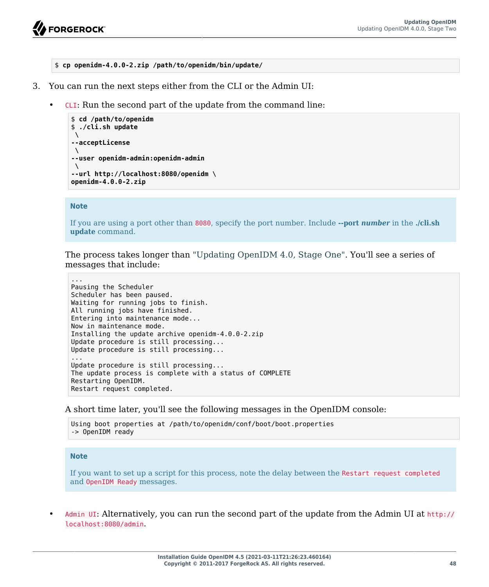

\$ **cp openidm-4.0.0-2.zip /path/to/openidm/bin/update/**

- 3. You can run the next steps either from the CLI or the Admin UI:
	- CLI: Run the second part of the update from the command line:

```
$ cd /path/to/openidm
$ ./cli.sh update
 \
--acceptLicense
 \
--user openidm-admin:openidm-admin
 \
--url http://localhost:8080/openidm \
openidm-4.0.0-2.zip
```
**Note**

```
If you are using a port other than 8080, specify the port number. Include --port number in the ./cli.sh
update command.
```
The process takes longer than ["Updating OpenIDM 4.0, Stage One"](#page-49-0). You'll see a series of messages that include:

```
...
Pausing the Scheduler
Scheduler has been paused.
Waiting for running jobs to finish.
All running jobs have finished.
Entering into maintenance mode...
Now in maintenance mode.
Installing the update archive openidm-4.0.0-2.zip
Update procedure is still processing...
Update procedure is still processing...
...
Update procedure is still processing...
The update process is complete with a status of COMPLETE
Restarting OpenIDM.
Restart request completed.
```
A short time later, you'll see the following messages in the OpenIDM console:

```
Using boot properties at /path/to/openidm/conf/boot/boot.properties
-> OpenIDM ready
```
#### **Note**

If you want to set up a script for this process, note the delay between the Restart request completed and OpenIDM Ready messages.

• Admin UI: Alternatively, you can run the second part of the update from the Admin UI at http:// localhost:8080/admin.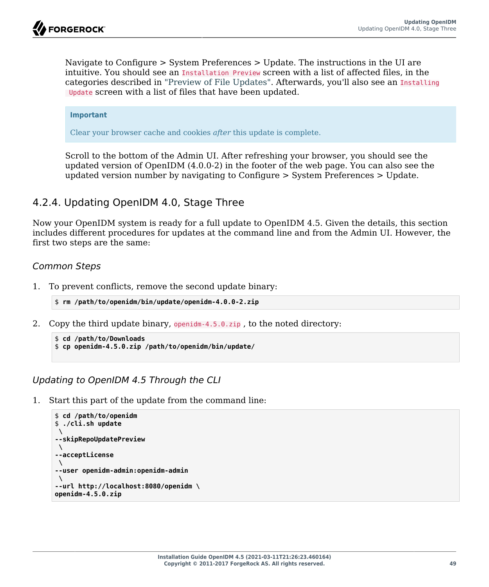Navigate to Configure > System Preferences > Update. The instructions in the UI are intuitive. You should see an Installation Preview screen with a list of affected files, in the categories described in ["Preview of File Updates"](#page-45-1). Afterwards, you'll also see an Installing Update screen with a list of files that have been updated.

#### **Important**

Clear your browser cache and cookies *after* this update is complete.

Scroll to the bottom of the Admin UI. After refreshing your browser, you should see the updated version of OpenIDM (4.0.0-2) in the footer of the web page. You can also see the updated version number by navigating to Configure > System Preferences > Update.

### <span id="page-53-0"></span>4.2.4. Updating OpenIDM 4.0, Stage Three

Now your OpenIDM system is ready for a full update to OpenIDM 4.5. Given the details, this section includes different procedures for updates at the command line and from the Admin UI. However, the first two steps are the same:

#### *Common Steps*

1. To prevent conflicts, remove the second update binary:

```
$ rm /path/to/openidm/bin/update/openidm-4.0.0-2.zip
```
2. Copy the third update binary, openidm-4.5.0.zip , to the noted directory:

```
$ cd /path/to/Downloads
$ cp openidm-4.5.0.zip /path/to/openidm/bin/update/
```
*Updating to OpenIDM 4.5 Through the CLI*

1. Start this part of the update from the command line:

```
$ cd /path/to/openidm
$ ./cli.sh update
 \
--skipRepoUpdatePreview
 \
--acceptLicense
 \
--user openidm-admin:openidm-admin
 \
--url http://localhost:8080/openidm \
openidm-4.5.0.zip
```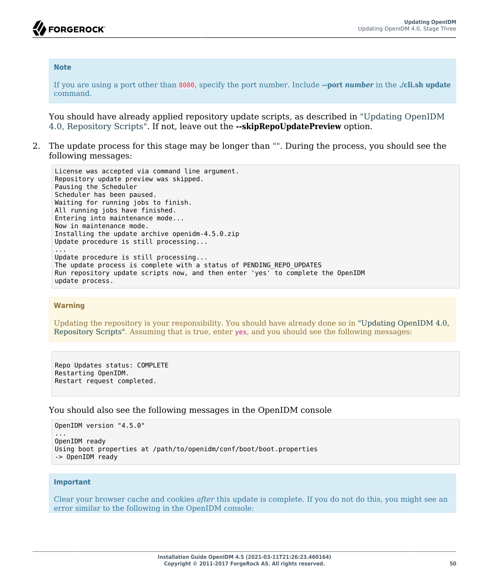#### **Note**

If you are using a port other than 8080, specify the port number. Include **--port** *number* in the **./cli.sh update** command.

You should have already applied repository update scripts, as described in ["Updating OpenIDM](#page-48-0) [4.0, Repository Scripts".](#page-48-0) If not, leave out the **--skipRepoUpdatePreview** option.

2. The update process for this stage may be longer than [""](#page-51-1). During the process, you should see the following messages:

```
License was accepted via command line argument.
Repository update preview was skipped.
Pausing the Scheduler
Scheduler has been paused.
Waiting for running jobs to finish.
All running jobs have finished.
Entering into maintenance mode...
Now in maintenance mode.
Installing the update archive openidm-4.5.0.zip
Update procedure is still processing...
...
Update procedure is still processing...
The update process is complete with a status of PENDING REPO UPDATES
Run repository update scripts now, and then enter 'yes' to complete the OpenIDM
update process.
```
#### **Warning**

Updating the repository is your responsibility. You should have already done so in ["Updating OpenIDM 4.0,](#page-48-0) [Repository Scripts"](#page-48-0). Assuming that is true, enter yes, and you should see the following messages:

```
Repo Updates status: COMPLETE
Restarting OpenIDM.
Restart request completed.
```
You should also see the following messages in the OpenIDM console

```
OpenIDM version "4.5.0"
...
OpenIDM ready
Using boot properties at /path/to/openidm/conf/boot/boot.properties
-> OpenIDM ready
```
#### **Important**

Clear your browser cache and cookies *after* this update is complete. If you do not do this, you might see an error similar to the following in the OpenIDM console: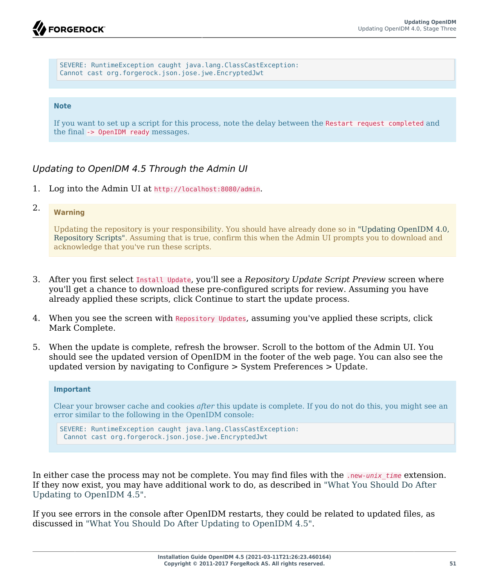

SEVERE: RuntimeException caught java.lang.ClassCastException: Cannot cast org.forgerock.json.jose.jwe.EncryptedJwt

#### **Note**

If you want to set up a script for this process, note the delay between the Restart request completed and the final -> OpenIDM ready messages.

#### *Updating to OpenIDM 4.5 Through the Admin UI*

1. Log into the Admin UI at http://localhost:8080/admin.

### 2. **Warning**

Updating the repository is your responsibility. You should have already done so in ["Updating OpenIDM 4.0,](#page-48-0) [Repository Scripts"](#page-48-0). Assuming that is true, confirm this when the Admin UI prompts you to download and acknowledge that you've run these scripts.

- 3. After you first select Install Update, you'll see a *Repository Update Script Preview* screen where you'll get a chance to download these pre-configured scripts for review. Assuming you have already applied these scripts, click Continue to start the update process.
- 4. When you see the screen with Repository Updates, assuming you've applied these scripts, click Mark Complete.
- 5. When the update is complete, refresh the browser. Scroll to the bottom of the Admin UI. You should see the updated version of OpenIDM in the footer of the web page. You can also see the updated version by navigating to Configure > System Preferences > Update.

#### **Important**

Clear your browser cache and cookies *after* this update is complete. If you do not do this, you might see an error similar to the following in the OpenIDM console:

```
SEVERE: RuntimeException caught java.lang.ClassCastException:
 Cannot cast org.forgerock.json.jose.jwe.EncryptedJwt
```
In either case the process may not be complete. You may find files with the .new-*unix\_time* extension. If they now exist, you may have additional work to do, as described in ["What You Should Do After](#page-56-0) [Updating to OpenIDM 4.5".](#page-56-0)

If you see errors in the console after OpenIDM restarts, they could be related to updated files, as discussed in ["What You Should Do After Updating to OpenIDM 4.5".](#page-56-0)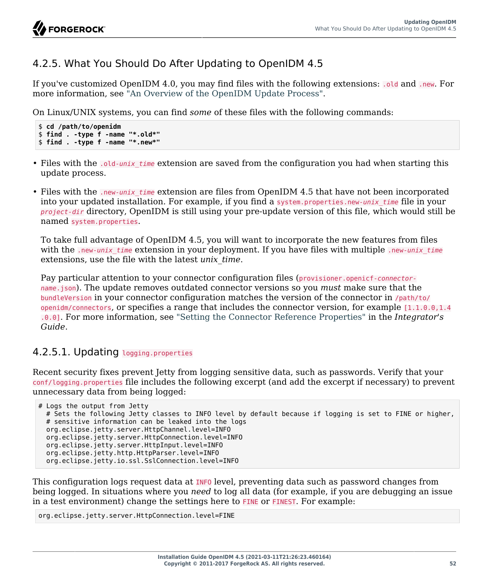### <span id="page-56-0"></span>4.2.5. What You Should Do After Updating to OpenIDM 4.5

If you've customized OpenIDM 4.0, you may find files with the following extensions: .old and .new. For more information, see ["An Overview of the OpenIDM Update Process".](#page-39-1)

On Linux/UNIX systems, you can find *some* of these files with the following commands:

```
$ cd /path/to/openidm
$ find . -type f -name "*.old*"
$ find . -type f -name "*.new*"
```
- Files with the .old-*unix* time extension are saved from the configuration you had when starting this update process.
- Files with the .new-*unix* time extension are files from OpenIDM 4.5 that have not been incorporated into your updated installation. For example, if you find a system.properties.new-*unix\_time* file in your *project-dir* directory, OpenIDM is still using your pre-update version of this file, which would still be named system.properties.

To take full advantage of OpenIDM 4.5, you will want to incorporate the new features from files with the .new-*unix\_time* extension in your deployment. If you have files with multiple .new-*unix\_time* extensions, use the file with the latest *unix\_time*.

Pay particular attention to your connector configuration files (provisioner.openicf-*connectorname*.json). The update removes outdated connector versions so you *must* make sure that the bundleVersion in your connector configuration matches the version of the connector in /path/to/ openidm/connectors, or specifies a range that includes the connector version, for example [1.1.0.0,1.4 .0.0]. For more information, see "Setting the Connector Reference Properties" in the *Integrator's Guide*.

### 4.2.5.1. Updating logging.properties

Recent security fixes prevent Jetty from logging sensitive data, such as passwords. Verify that your conf/logging.properties file includes the following excerpt (and add the excerpt if necessary) to prevent unnecessary data from being logged:

```
# Logs the output from Jetty
  # Sets the following Jetty classes to INFO level by default because if logging is set to FINE or higher,
  # sensitive information can be leaked into the logs
  org.eclipse.jetty.server.HttpChannel.level=INFO
  org.eclipse.jetty.server.HttpConnection.level=INFO
  org.eclipse.jetty.server.HttpInput.level=INFO
  org.eclipse.jetty.http.HttpParser.level=INFO
  org.eclipse.jetty.io.ssl.SslConnection.level=INFO
```
This configuration logs request data at INFO level, preventing data such as password changes from being logged. In situations where you *need* to log all data (for example, if you are debugging an issue in a test environment) change the settings here to FINE or FINEST. For example:

```
org.eclipse.jetty.server.HttpConnection.level=FINE
```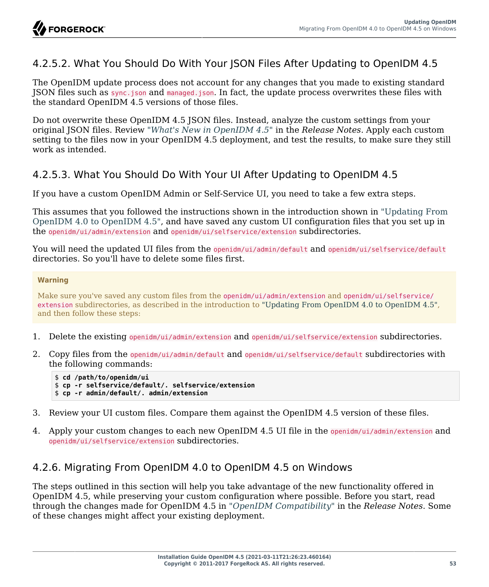### 4.2.5.2. What You Should Do With Your JSON Files After Updating to OpenIDM 4.5

The OpenIDM update process does not account for any changes that you made to existing standard JSON files such as sync.json and managed.json. In fact, the update process overwrites these files with the standard OpenIDM 4.5 versions of those files.

Do not overwrite these OpenIDM 4.5 JSON files. Instead, analyze the custom settings from your original JSON files. Review "*What's New in OpenIDM 4.5*" in the *Release Notes*. Apply each custom setting to the files now in your OpenIDM 4.5 deployment, and test the results, to make sure they still work as intended.

### 4.2.5.3. What You Should Do With Your UI After Updating to OpenIDM 4.5

If you have a custom OpenIDM Admin or Self-Service UI, you need to take a few extra steps.

This assumes that you followed the instructions shown in the introduction shown in ["Updating From](#page-46-0) [OpenIDM 4.0 to OpenIDM 4.5",](#page-46-0) and have saved any custom UI configuration files that you set up in the openidm/ui/admin/extension and openidm/ui/selfservice/extension subdirectories.

You will need the updated UI files from the openidm/ui/admin/default and openidm/ui/selfservice/default directories. So you'll have to delete some files first.

#### **Warning**

Make sure you've saved any custom files from the openidm/ui/admin/extension and openidm/ui/selfservice/ extension subdirectories, as described in the introduction to ["Updating From OpenIDM 4.0 to OpenIDM 4.5"](#page-46-0), and then follow these steps:

- 1. Delete the existing openidm/ui/admin/extension and openidm/ui/selfservice/extension subdirectories.
- 2. Copy files from the openidm/ui/admin/default and openidm/ui/selfservice/default subdirectories with the following commands:

```
$ cd /path/to/openidm/ui
$ cp -r selfservice/default/. selfservice/extension
$ cp -r admin/default/. admin/extension
```
- 3. Review your UI custom files. Compare them against the OpenIDM 4.5 version of these files.
- 4. Apply your custom changes to each new OpenIDM 4.5 UI file in the openidm/ui/admin/extension and openidm/ui/selfservice/extension subdirectories.

### <span id="page-57-0"></span>4.2.6. Migrating From OpenIDM 4.0 to OpenIDM 4.5 on Windows

The steps outlined in this section will help you take advantage of the new functionality offered in OpenIDM 4.5, while preserving your custom configuration where possible. Before you start, read through the changes made for OpenIDM 4.5 in "*OpenIDM Compatibility*" in the *Release Notes*. Some of these changes might affect your existing deployment.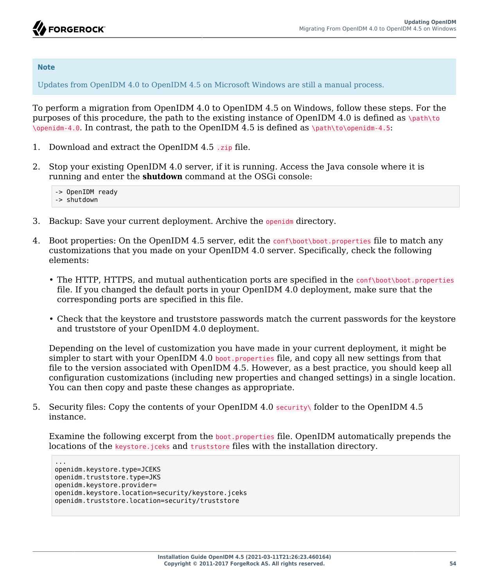#### **Note**

Updates from OpenIDM 4.0 to OpenIDM 4.5 on Microsoft Windows are still a manual process.

To perform a migration from OpenIDM 4.0 to OpenIDM 4.5 on Windows, follow these steps. For the purposes of this procedure, the path to the existing instance of OpenIDM 4.0 is defined as  $\path\to$  $\operatorname{Operidm-4.0}$ . In contrast, the path to the OpenIDM 4.5 is defined as  $\path\to\Openim-4.5$ :

- 1. Download and extract the OpenIDM 4.5 .zip file.
- 2. Stop your existing OpenIDM 4.0 server, if it is running. Access the Java console where it is running and enter the **shutdown** command at the OSGi console:
	- -> OpenIDM ready -> shutdown
- 3. Backup: Save your current deployment. Archive the openidm directory.
- 4. Boot properties: On the OpenIDM 4.5 server, edit the conf\boot\boot.properties file to match any customizations that you made on your OpenIDM 4.0 server. Specifically, check the following elements:
	- The HTTP, HTTPS, and mutual authentication ports are specified in the conf\boot\boot.properties file. If you changed the default ports in your OpenIDM 4.0 deployment, make sure that the corresponding ports are specified in this file.
	- Check that the keystore and truststore passwords match the current passwords for the keystore and truststore of your OpenIDM 4.0 deployment.

Depending on the level of customization you have made in your current deployment, it might be simpler to start with your OpenIDM 4.0 boot.properties file, and copy all new settings from that file to the version associated with OpenIDM 4.5. However, as a best practice, you should keep all configuration customizations (including new properties and changed settings) in a single location. You can then copy and paste these changes as appropriate.

5. Security files: Copy the contents of your OpenIDM 4.0 security\ folder to the OpenIDM 4.5 instance.

Examine the following excerpt from the boot.properties file. OpenIDM automatically prepends the locations of the keystore.jceks and truststore files with the installation directory.

```
...
openidm.keystore.type=JCEKS
openidm.truststore.type=JKS
openidm.keystore.provider=
openidm.keystore.location=security/keystore.jceks
openidm.truststore.location=security/truststore
```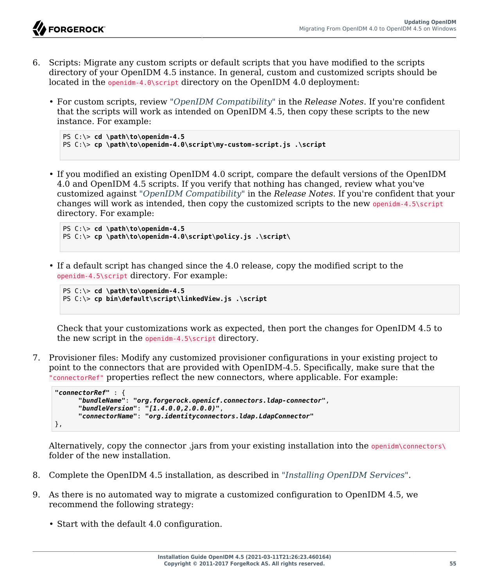- 6. Scripts: Migrate any custom scripts or default scripts that you have modified to the scripts directory of your OpenIDM 4.5 instance. In general, custom and customized scripts should be located in the openidm-4.0\script directory on the OpenIDM 4.0 deployment:
	- For custom scripts, review "*OpenIDM Compatibility*" in the *Release Notes*. If you're confident that the scripts will work as intended on OpenIDM 4.5, then copy these scripts to the new instance. For example:

```
PS C:\> cd \path\to\openidm-4.5
PS C:\> cp \path\to\openidm-4.0\script\my-custom-script.js .\script
```
• If you modified an existing OpenIDM 4.0 script, compare the default versions of the OpenIDM 4.0 and OpenIDM 4.5 scripts. If you verify that nothing has changed, review what you've customized against "*OpenIDM Compatibility*" in the *Release Notes*. If you're confident that your changes will work as intended, then copy the customized scripts to the new openidm-4.5\script directory. For example:

```
PS C:\> cd \path\to\openidm-4.5
PS C:\> cp \path\to\openidm-4.0\script\policy.js .\script\
```
• If a default script has changed since the 4.0 release, copy the modified script to the openidm-4.5\script directory. For example:

```
PS C:\> cd \path\to\openidm-4.5
PS C:\> cp bin\default\script\linkedView.js .\script
```
Check that your customizations work as expected, then port the changes for OpenIDM 4.5 to the new script in the openidm-4.5\script directory.

7. Provisioner files: Modify any customized provisioner configurations in your existing project to point to the connectors that are provided with OpenIDM-4.5. Specifically, make sure that the "connectorRef" properties reflect the new connectors, where applicable. For example:

```
"connectorRef" : {
       "bundleName": "org.forgerock.openicf.connectors.ldap-connector",
       "bundleVersion": "[1.4.0.0,2.0.0.0)",
       "connectorName": "org.identityconnectors.ldap.LdapConnector"
},
```
Alternatively, copy the connector .jars from your existing installation into the openidm\connectors\ folder of the new installation.

- 8. Complete the OpenIDM 4.5 installation, as described in "*[Installing OpenIDM Services](#page-5-0)*".
- 9. As there is no automated way to migrate a customized configuration to OpenIDM 4.5, we recommend the following strategy:
	- Start with the default 4.0 configuration.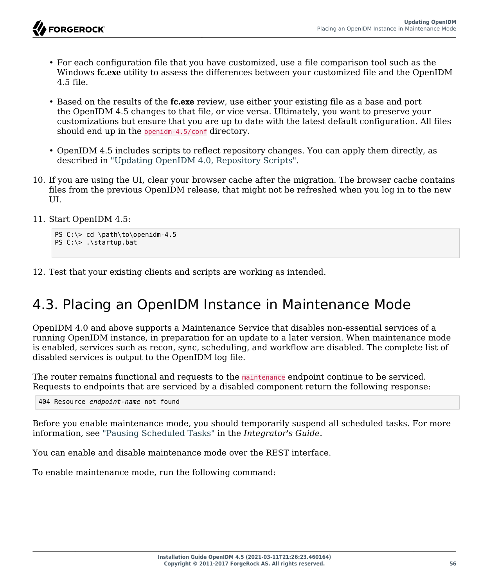- For each configuration file that you have customized, use a file comparison tool such as the Windows **fc.exe** utility to assess the differences between your customized file and the OpenIDM 4.5 file.
- Based on the results of the **fc.exe** review, use either your existing file as a base and port the OpenIDM 4.5 changes to that file, or vice versa. Ultimately, you want to preserve your customizations but ensure that you are up to date with the latest default configuration. All files should end up in the openidm-4.5/conf directory.
- OpenIDM 4.5 includes scripts to reflect repository changes. You can apply them directly, as described in ["Updating OpenIDM 4.0, Repository Scripts"](#page-48-0).
- 10. If you are using the UI, clear your browser cache after the migration. The browser cache contains files from the previous OpenIDM release, that might not be refreshed when you log in to the new UI.
- 11. Start OpenIDM 4.5:

```
PS C:\> cd \path\to\openidm-4.5
PS C:\> .\startup.bat
```
<span id="page-60-0"></span>12. Test that your existing clients and scripts are working as intended.

## 4.3. Placing an OpenIDM Instance in Maintenance Mode

OpenIDM 4.0 and above supports a Maintenance Service that disables non-essential services of a running OpenIDM instance, in preparation for an update to a later version. When maintenance mode is enabled, services such as recon, sync, scheduling, and workflow are disabled. The complete list of disabled services is output to the OpenIDM log file.

The router remains functional and requests to the maintenance endpoint continue to be serviced. Requests to endpoints that are serviced by a disabled component return the following response:

404 Resource *endpoint-name* not found

Before you enable maintenance mode, you should temporarily suspend all scheduled tasks. For more information, see "Pausing Scheduled Tasks" in the *Integrator's Guide*.

You can enable and disable maintenance mode over the REST interface.

To enable maintenance mode, run the following command: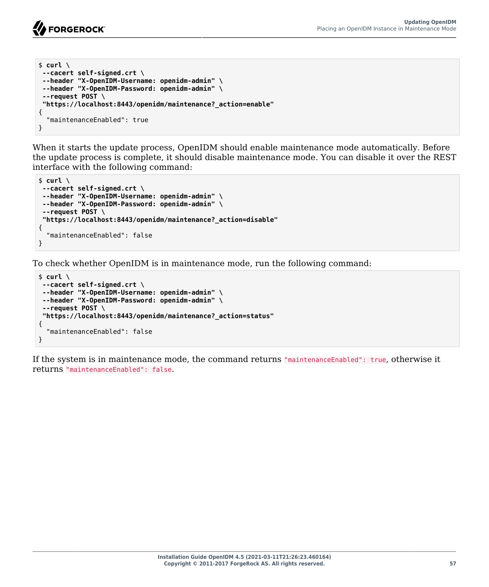```
$ curl \lambda--cacert self-signed.crt \
 --header "X-OpenIDM-Username: openidm-admin" \
 --header "X-OpenIDM-Password: openidm-admin" \
 --request POST \
  "https://localhost:8443/openidm/maintenance?_action=enable"
{
   "maintenanceEnabled": true
}
```
When it starts the update process, OpenIDM should enable maintenance mode automatically. Before the update process is complete, it should disable maintenance mode. You can disable it over the REST interface with the following command:

```
$ curl \
 --cacert self-signed.crt \
 --header "X-OpenIDM-Username: openidm-admin" \
 --header "X-OpenIDM-Password: openidm-admin" \
 --request POST \
  "https://localhost:8443/openidm/maintenance?_action=disable"
{
   "maintenanceEnabled": false
}
```
To check whether OpenIDM is in maintenance mode, run the following command:

```
$ curl \
 --cacert self-signed.crt \
 --header "X-OpenIDM-Username: openidm-admin" \
 --header "X-OpenIDM-Password: openidm-admin" \
 --request POST \
  "https://localhost:8443/openidm/maintenance?_action=status"
{
   "maintenanceEnabled": false
}
```
If the system is in maintenance mode, the command returns "maintenanceEnabled": true, otherwise it returns "maintenanceEnabled": false.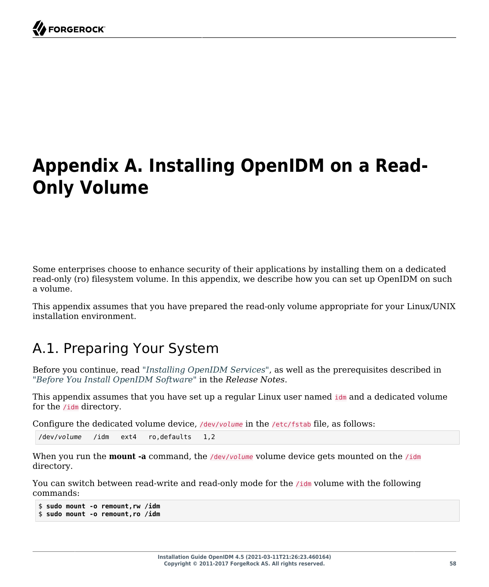<span id="page-62-0"></span>

# **Appendix A. Installing OpenIDM on a Read-Only Volume**

Some enterprises choose to enhance security of their applications by installing them on a dedicated read-only (ro) filesystem volume. In this appendix, we describe how you can set up OpenIDM on such a volume.

<span id="page-62-1"></span>This appendix assumes that you have prepared the read-only volume appropriate for your Linux/UNIX installation environment.

## A.1. Preparing Your System

Before you continue, read "*[Installing OpenIDM Services](#page-5-0)*", as well as the prerequisites described in "*Before You Install OpenIDM Software*" in the *Release Notes*.

This appendix assumes that you have set up a regular Linux user named id and a dedicated volume for the /idm directory.

Configure the dedicated volume device, /dev/*volume* in the /etc/fstab file, as follows:

/dev/*volume* /idm ext4 ro,defaults 1,2

When you run the **mount -a** command, the /dev/volume volume device gets mounted on the /idm directory.

You can switch between read-write and read-only mode for the *f* idm volume with the following commands:

```
$ sudo mount -o remount,rw /idm
$ sudo mount -o remount,ro /idm
```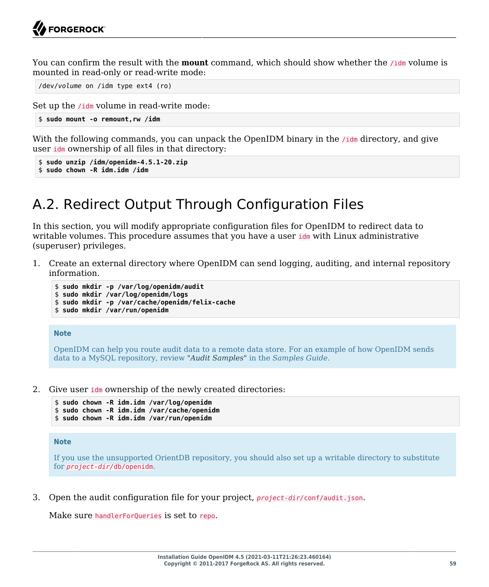You can confirm the result with the **mount** command, which should show whether the /idm volume is mounted in read-only or read-write mode:

/dev/*volume* on /idm type ext4 (ro)

Set up the /idm volume in read-write mode:

```
$ sudo mount -o remount,rw /idm
```
With the following commands, you can unpack the OpenIDM binary in the *fidm* directory, and give user idm ownership of all files in that directory:

```
$ sudo unzip /idm/openidm-4.5.1-20.zip
$ sudo chown -R idm.idm /idm
```
## A.2. Redirect Output Through Configuration Files

In this section, you will modify appropriate configuration files for OpenIDM to redirect data to writable volumes. This procedure assumes that you have a user idm with Linux administrative (superuser) privileges.

1. Create an external directory where OpenIDM can send logging, auditing, and internal repository information.

```
$ sudo mkdir -p /var/log/openidm/audit
```

```
$ sudo mkdir /var/log/openidm/logs
```
- \$ **sudo mkdir -p /var/cache/openidm/felix-cache**
- \$ **sudo mkdir /var/run/openidm**

#### **Note**

OpenIDM can help you route audit data to a remote data store. For an example of how OpenIDM sends data to a MySQL repository, review "*Audit Samples*" in the *Samples Guide*.

2. Give user idm ownership of the newly created directories:

```
$ sudo chown -R idm.idm /var/log/openidm
$ sudo chown -R idm.idm /var/cache/openidm
$ sudo chown -R idm.idm /var/run/openidm
```
#### **Note**

If you use the unsupported OrientDB repository, you should also set up a writable directory to substitute for *project-dir/*db/openidm.

3. Open the audit configuration file for your project, *project-dir/*conf/audit.json.

Make sure handlerForQueries is set to repo.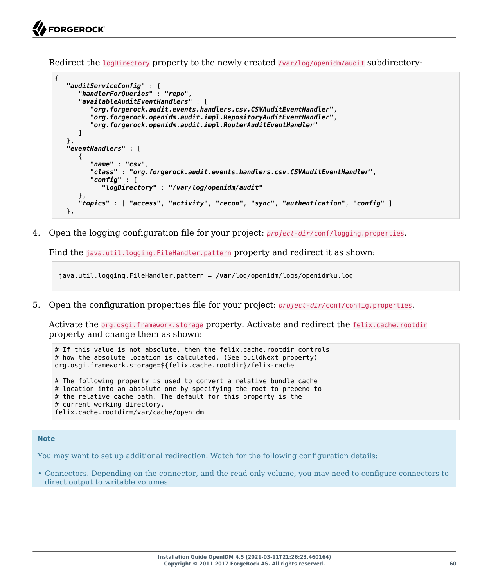Redirect the logDirectory property to the newly created /var/log/openidm/audit subdirectory:

```
{
    "auditServiceConfig" : {
       "handlerForQueries" : "repo",
       "availableAuditEventHandlers" : [
          "org.forgerock.audit.events.handlers.csv.CSVAuditEventHandler",
          "org.forgerock.openidm.audit.impl.RepositoryAuditEventHandler",
          "org.forgerock.openidm.audit.impl.RouterAuditEventHandler"
       ]
 },
 "eventHandlers" : [
\overline{\mathcal{L}} "name" : "csv",
          "class" : "org.forgerock.audit.events.handlers.csv.CSVAuditEventHandler",
          "config" : {
             "logDirectory" : "/var/log/openidm/audit"
       },
       "topics" : [ "access", "activity", "recon", "sync", "authentication", "config" ]
    },
```
4. Open the logging configuration file for your project: *project-dir/*conf/logging.properties.

Find the java.util.logging.FileHandler.pattern property and redirect it as shown:

java.util.logging.FileHandler.pattern = /**var**/log/openidm/logs/openidm%u.log

5. Open the configuration properties file for your project: *project-dir/*conf/config.properties.

Activate the org.osgi.framework.storage property. Activate and redirect the felix.cache.rootdir property and change them as shown:

```
# If this value is not absolute, then the felix.cache.rootdir controls
# how the absolute location is calculated. (See buildNext property)
org.osgi.framework.storage=${felix.cache.rootdir}/felix-cache
# The following property is used to convert a relative bundle cache
# location into an absolute one by specifying the root to prepend to
# the relative cache path. The default for this property is the
# current working directory.
felix.cache.rootdir=/var/cache/openidm
```
#### **Note**

You may want to set up additional redirection. Watch for the following configuration details:

• Connectors. Depending on the connector, and the read-only volume, you may need to configure connectors to direct output to writable volumes.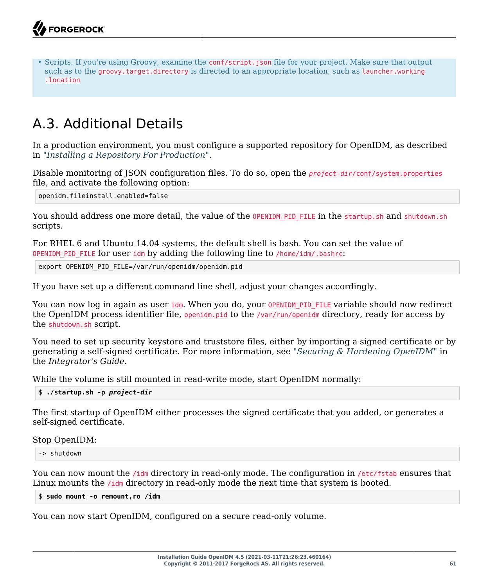• Scripts. If you're using Groovy, examine the conf/script.json file for your project. Make sure that output such as to the groovy.target.directory is directed to an appropriate location, such as launcher.working .location

# <span id="page-65-0"></span>A.3. Additional Details

In a production environment, you must configure a supported repository for OpenIDM, as described in "*[Installing a Repository For Production](#page-18-0)*".

Disable monitoring of JSON configuration files. To do so, open the *project-dir*/conf/system.properties file, and activate the following option:

openidm.fileinstall.enabled=false

You should address one more detail, the value of the OPENIDM PID FILE in the startup.sh and shutdown.sh scripts.

For RHEL 6 and Ubuntu 14.04 systems, the default shell is bash. You can set the value of OPENIDM\_PID\_FILE for user idm by adding the following line to /home/idm/.bashrc:

export OPENIDM PID FILE=/var/run/openidm/openidm.pid

If you have set up a different command line shell, adjust your changes accordingly.

You can now log in again as user idm. When you do, your OPENIDM PID FILE variable should now redirect the OpenIDM process identifier file, openidm.pid to the /var/run/openidm directory, ready for access by the shutdown.sh script.

You need to set up security keystore and truststore files, either by importing a signed certificate or by generating a self-signed certificate. For more information, see "*Securing & Hardening OpenIDM*" in the *Integrator's Guide*.

While the volume is still mounted in read-write mode, start OpenIDM normally:

\$ **./startup.sh -p** *project-dir*

The first startup of OpenIDM either processes the signed certificate that you added, or generates a self-signed certificate.

Stop OpenIDM:

-> shutdown

You can now mount the /idm directory in read-only mode. The configuration in /etc/fstab ensures that Linux mounts the */idm* directory in read-only mode the next time that system is booted.

```
$ sudo mount -o remount,ro /idm
```
You can now start OpenIDM, configured on a secure read-only volume.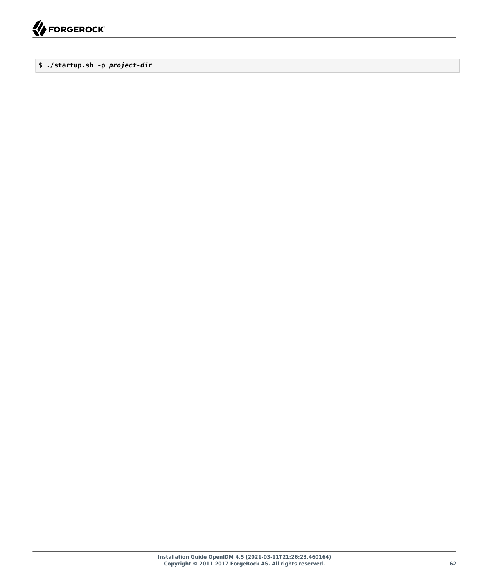

#### \$ **./startup.sh -p** *project-dir*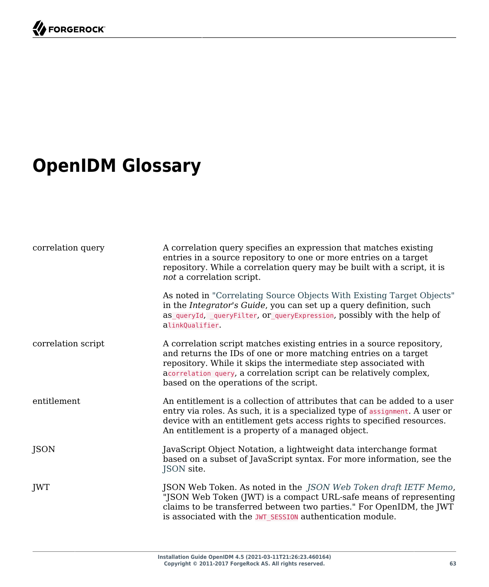# <span id="page-67-0"></span>**OpenIDM Glossary**

| correlation query  | A correlation query specifies an expression that matches existing<br>entries in a source repository to one or more entries on a target<br>repository. While a correlation query may be built with a script, it is<br>not a correlation script.                                                                                |
|--------------------|-------------------------------------------------------------------------------------------------------------------------------------------------------------------------------------------------------------------------------------------------------------------------------------------------------------------------------|
|                    | As noted in "Correlating Source Objects With Existing Target Objects"<br>in the Integrator's Guide, you can set up a query definition, such<br>as queryId, queryFilter, or queryExpression, possibly with the help of<br>alinkQualifier.                                                                                      |
| correlation script | A correlation script matches existing entries in a source repository,<br>and returns the IDs of one or more matching entries on a target<br>repository. While it skips the intermediate step associated with<br>acorrelation query, a correlation script can be relatively complex,<br>based on the operations of the script. |
| entitlement        | An entitlement is a collection of attributes that can be added to a user<br>entry via roles. As such, it is a specialized type of assignment. A user or<br>device with an entitlement gets access rights to specified resources.<br>An entitlement is a property of a managed object.                                         |
| <b>JSON</b>        | JavaScript Object Notation, a lightweight data interchange format<br>based on a subset of JavaScript syntax. For more information, see the<br>JSON site.                                                                                                                                                                      |
| JWT                | JSON Web Token. As noted in the JSON Web Token draft IETF Memo,<br>"JSON Web Token (JWT) is a compact URL-safe means of representing<br>claims to be transferred between two parties." For OpenIDM, the JWT<br>is associated with the JWT SESSION authentication module.                                                      |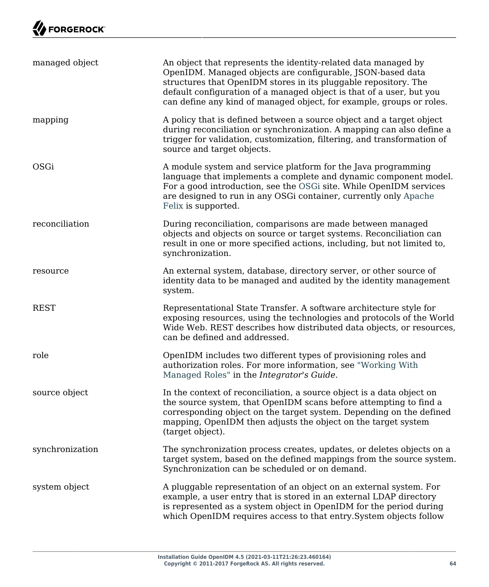| managed object  | An object that represents the identity-related data managed by<br>OpenIDM. Managed objects are configurable, JSON-based data<br>structures that OpenIDM stores in its pluggable repository. The<br>default configuration of a managed object is that of a user, but you<br>can define any kind of managed object, for example, groups or roles. |
|-----------------|-------------------------------------------------------------------------------------------------------------------------------------------------------------------------------------------------------------------------------------------------------------------------------------------------------------------------------------------------|
| mapping         | A policy that is defined between a source object and a target object<br>during reconciliation or synchronization. A mapping can also define a<br>trigger for validation, customization, filtering, and transformation of<br>source and target objects.                                                                                          |
| OSGi            | A module system and service platform for the Java programming<br>language that implements a complete and dynamic component model.<br>For a good introduction, see the OSGi site. While OpenIDM services<br>are designed to run in any OSGi container, currently only Apache<br>Felix is supported.                                              |
| reconciliation  | During reconciliation, comparisons are made between managed<br>objects and objects on source or target systems. Reconciliation can<br>result in one or more specified actions, including, but not limited to,<br>synchronization.                                                                                                               |
| resource        | An external system, database, directory server, or other source of<br>identity data to be managed and audited by the identity management<br>system.                                                                                                                                                                                             |
| <b>REST</b>     | Representational State Transfer. A software architecture style for<br>exposing resources, using the technologies and protocols of the World<br>Wide Web. REST describes how distributed data objects, or resources,<br>can be defined and addressed.                                                                                            |
| role            | OpenIDM includes two different types of provisioning roles and<br>authorization roles. For more information, see "Working With<br>Managed Roles" in the Integrator's Guide.                                                                                                                                                                     |
| source object   | In the context of reconciliation, a source object is a data object on<br>the source system, that OpenIDM scans before attempting to find a<br>corresponding object on the target system. Depending on the defined<br>mapping, OpenIDM then adjusts the object on the target system<br>(target object).                                          |
| synchronization | The synchronization process creates, updates, or deletes objects on a<br>target system, based on the defined mappings from the source system.<br>Synchronization can be scheduled or on demand.                                                                                                                                                 |
| system object   | A pluggable representation of an object on an external system. For<br>example, a user entry that is stored in an external LDAP directory<br>is represented as a system object in OpenIDM for the period during<br>which OpenIDM requires access to that entry. System objects follow                                                            |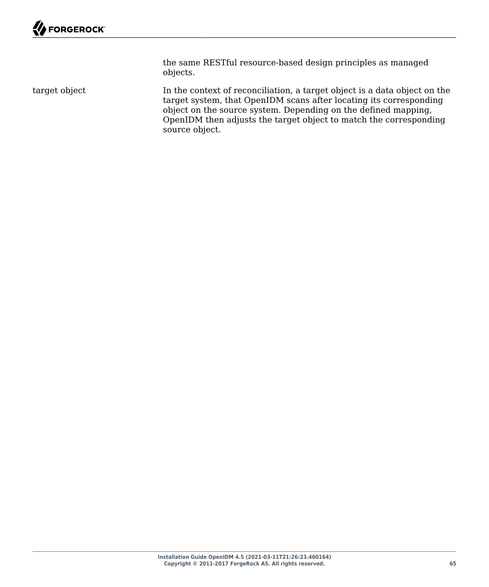the same RESTful resource-based design principles as managed objects.

target object In the context of reconciliation, a target object is a data object on the target system, that OpenIDM scans after locating its corresponding object on the source system. Depending on the defined mapping, OpenIDM then adjusts the target object to match the corresponding source object.